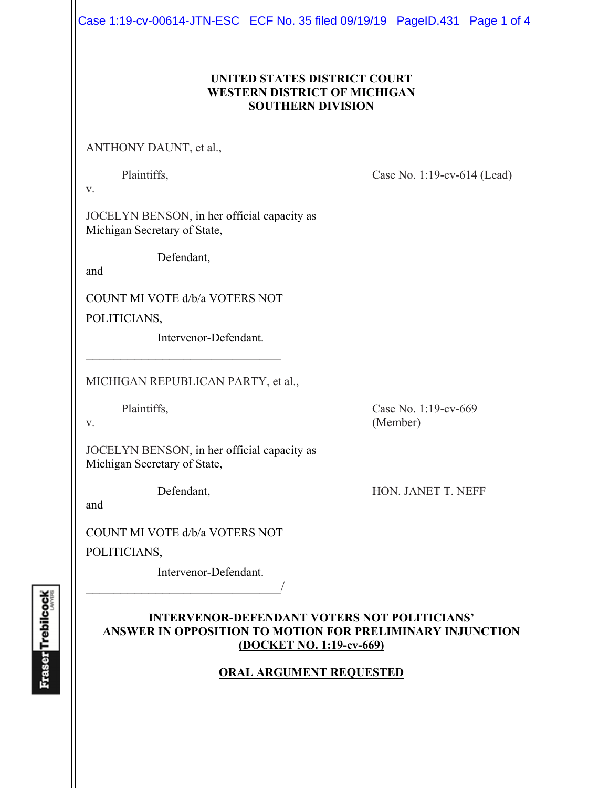Case 1:19-cv-00614-JTN-ESC ECF No. 35 filed 09/19/19 PageID.431 Page 1 of 4

## **UNITED STATES DISTRICT COURT WESTERN DISTRICT OF MICHIGAN SOUTHERN DIVISION**

ANTHONY DAUNT, et al.,

Plaintiffs, Case No. 1:19-cv-614 (Lead)

v.

JOCELYN BENSON, in her official capacity as Michigan Secretary of State,

Defendant,

and

COUNT MI VOTE d/b/a VOTERS NOT

 $\mathcal{L}_\text{max}$  , and the set of the set of the set of the set of the set of the set of the set of the set of the set of the set of the set of the set of the set of the set of the set of the set of the set of the set of the

POLITICIANS,

Intervenor-Defendant.

MICHIGAN REPUBLICAN PARTY, et al.,

Plaintiffs, Case No. 1:19-cv-669 v. (Member)

JOCELYN BENSON, in her official capacity as Michigan Secretary of State,

Defendant, HON. JANET T. NEFF

and

COUNT MI VOTE d/b/a VOTERS NOT

POLITICIANS,

 Intervenor-Defendant.  $\overline{\phantom{a}}$ 

## **INTERVENOR-DEFENDANT VOTERS NOT POLITICIANS' ANSWER IN OPPOSITION TO MOTION FOR PRELIMINARY INJUNCTION (DOCKET NO. 1:19-cv-669)**

## **ORAL ARGUMENT REQUESTED**

**Fraser** Trebilcock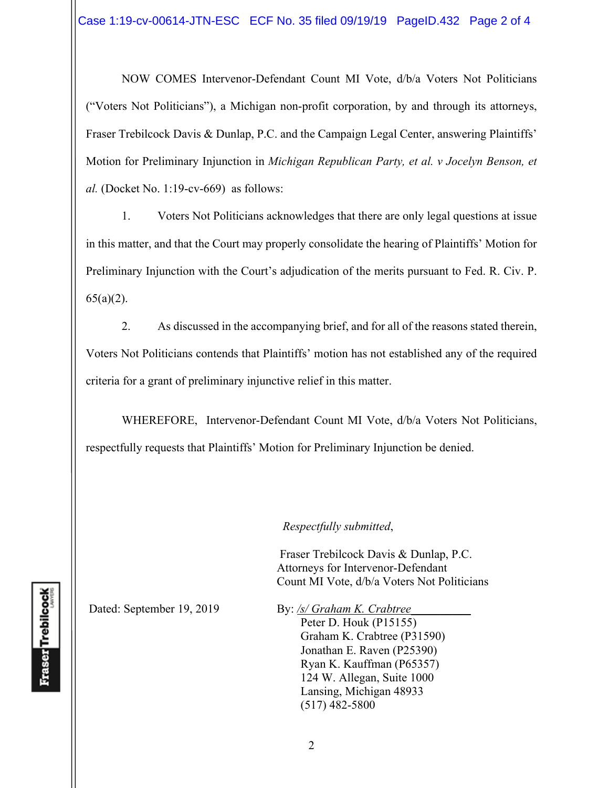NOW COMES Intervenor-Defendant Count MI Vote, d/b/a Voters Not Politicians ("Voters Not Politicians"), a Michigan non-profit corporation, by and through its attorneys, Fraser Trebilcock Davis & Dunlap, P.C. and the Campaign Legal Center, answering Plaintiffs' Motion for Preliminary Injunction in *Michigan Republican Party, et al. v Jocelyn Benson, et al.* (Docket No. 1:19-cv-669)as follows:

1. Voters Not Politicians acknowledges that there are only legal questions at issue in this matter, and that the Court may properly consolidate the hearing of Plaintiffs' Motion for Preliminary Injunction with the Court's adjudication of the merits pursuant to Fed. R. Civ. P.  $65(a)(2)$ .

2. As discussed in the accompanying brief, and for all of the reasons stated therein, Voters Not Politicians contends that Plaintiffs' motion has not established any of the required criteria for a grant of preliminary injunctive relief in this matter.

WHEREFORE, Intervenor-Defendant Count MI Vote, d/b/a Voters Not Politicians, respectfully requests that Plaintiffs' Motion for Preliminary Injunction be denied.

*Respectfully submitted*,

 Fraser Trebilcock Davis & Dunlap, P.C. Attorneys for Intervenor-Defendant Count MI Vote, d/b/a Voters Not Politicians

Dated: September 19, 2019 By: /s/ Graham K. Crabtree

Peter D. Houk (P15155) Graham K. Crabtree (P31590) Jonathan E. Raven (P25390) Ryan K. Kauffman (P65357) 124 W. Allegan, Suite 1000 Lansing, Michigan 48933 (517) 482-5800

**Fraser** Trebilcock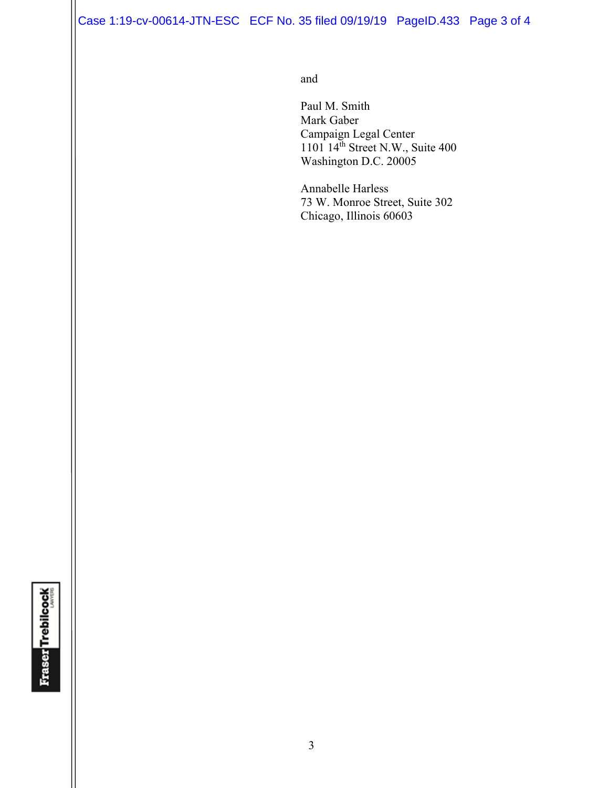Case 1:19-cv-00614-JTN-ESC ECF No. 35 filed 09/19/19 PageID.433 Page 3 of 4

and and state of the state of the state of the state of the state of the state of the state of the state of the state of the state of the state of the state of the state of the state of the state of the state of the state

 Paul M. Smith Mark Gaber Campaign Legal Center  $1101 \, 14<sup>th</sup>$  Street N.W., Suite 400 Washington D.C. 20005

> Annabelle Harless 73 W. Monroe Street, Suite 302 Chicago, Illinois 60603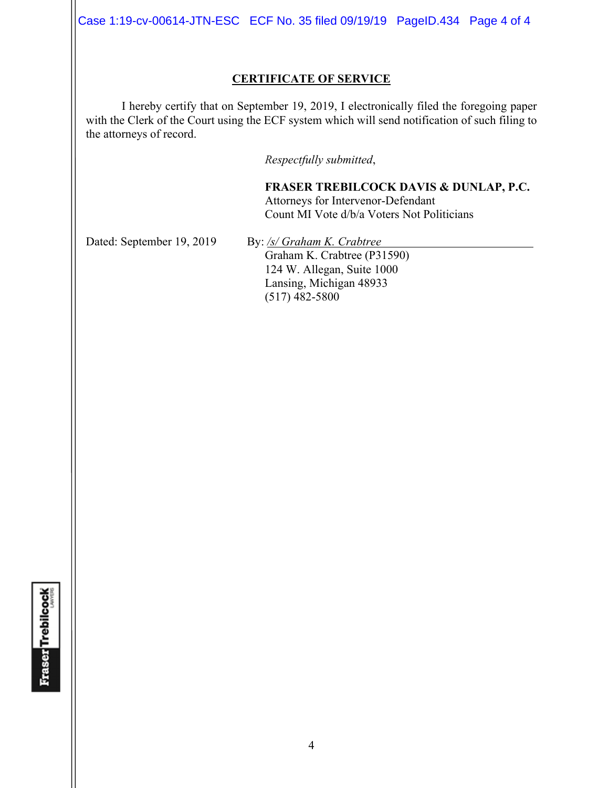Case 1:19-cv-00614-JTN-ESC ECF No. 35 filed 09/19/19 PageID.434 Page 4 of 4

### **CERTIFICATE OF SERVICE**

I hereby certify that on September 19, 2019, I electronically filed the foregoing paper with the Clerk of the Court using the ECF system which will send notification of such filing to the attorneys of record.

*Respectfully submitted*,

**FRASER TREBILCOCK DAVIS & DUNLAP, P.C.** Attorneys for Intervenor-Defendant Count MI Vote d/b/a Voters Not Politicians

Dated: September 19, 2019 By: /s/ Graham K. Crabtree

Graham K. Crabtree (P31590) 124 W. Allegan, Suite 1000 Lansing, Michigan 48933 (517) 482-5800

**Fraser Trebilcock**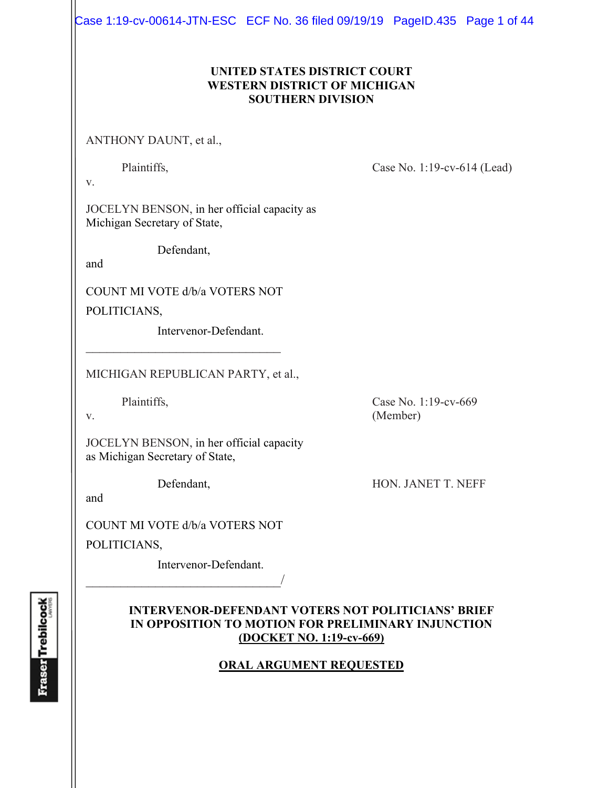Case 1:19-cv-00614-JTN-ESC ECF No. 36 filed 09/19/19 PageID.435 Page 1 of 44

## **UNITED STATES DISTRICT COURT WESTERN DISTRICT OF MICHIGAN SOUTHERN DIVISION**

ANTHONY DAUNT, et al.,

Plaintiffs, Case No. 1:19-cv-614 (Lead)

v.

JOCELYN BENSON, in her official capacity as Michigan Secretary of State,

Defendant,

and

COUNT MI VOTE d/b/a VOTERS NOT

 $\mathcal{L}_\text{max}$  , where  $\mathcal{L}_\text{max}$  and  $\mathcal{L}_\text{max}$ 

POLITICIANS,

Intervenor-Defendant.

MICHIGAN REPUBLICAN PARTY, et al.,

JOCELYN BENSON, in her official capacity as Michigan Secretary of State,

and

COUNT MI VOTE d/b/a VOTERS NOT

 $\overline{\phantom{a}}$ 

POLITICIANS,

Intervenor-Defendant.

## **INTERVENOR-DEFENDANT VOTERS NOT POLITICIANS' BRIEF IN OPPOSITION TO MOTION FOR PRELIMINARY INJUNCTION (DOCKET NO. 1:19-cv-669)**

## **ORAL ARGUMENT REQUESTED**

**Fraser Trebilcock** 

Plaintiffs, Case No. 1:19-cv-669 v. (Member)

Defendant, HON. JANET T. NEFF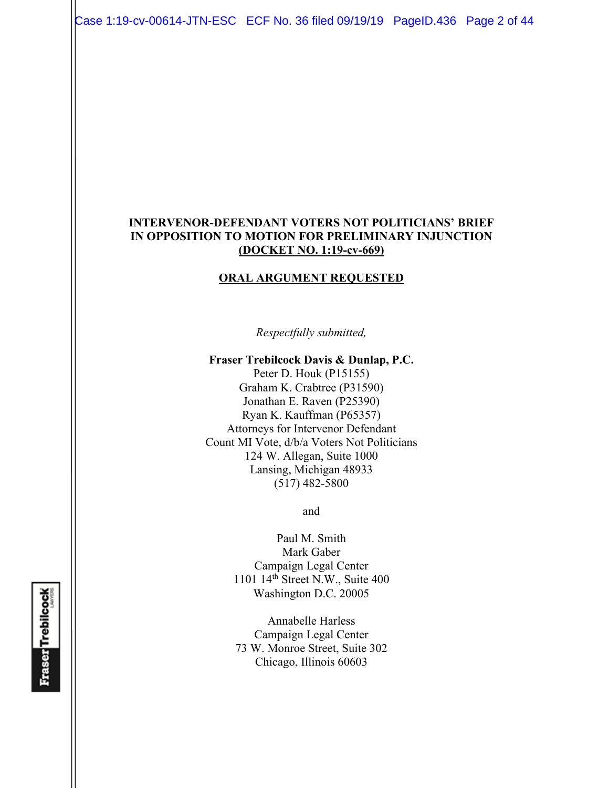Case 1:19-cv-00614-JTN-ESC ECF No. 36 filed 09/19/19 PageID.436 Page 2 of 44

#### **INTERVENOR-DEFENDANT VOTERS NOT POLITICIANS' BRIEF IN OPPOSITION TO MOTION FOR PRELIMINARY INJUNCTION (DOCKET NO. 1:19-cv-669)**

#### **ORAL ARGUMENT REQUESTED**

*Respectfully submitted,* 

**Fraser Trebilcock Davis & Dunlap, P.C.**  Peter D. Houk (P15155) Graham K. Crabtree (P31590) Jonathan E. Raven (P25390) Ryan K. Kauffman (P65357) Attorneys for Intervenor Defendant Count MI Vote, d/b/a Voters Not Politicians 124 W. Allegan, Suite 1000 Lansing, Michigan 48933  $(517)$  482-5800

and

Paul M. Smith Mark Gaber Campaign Legal Center 1101 14th Street N.W., Suite 400 Washington D.C. 20005

Annabelle Harless Campaign Legal Center 73 W. Monroe Street, Suite 302 Chicago, Illinois 60603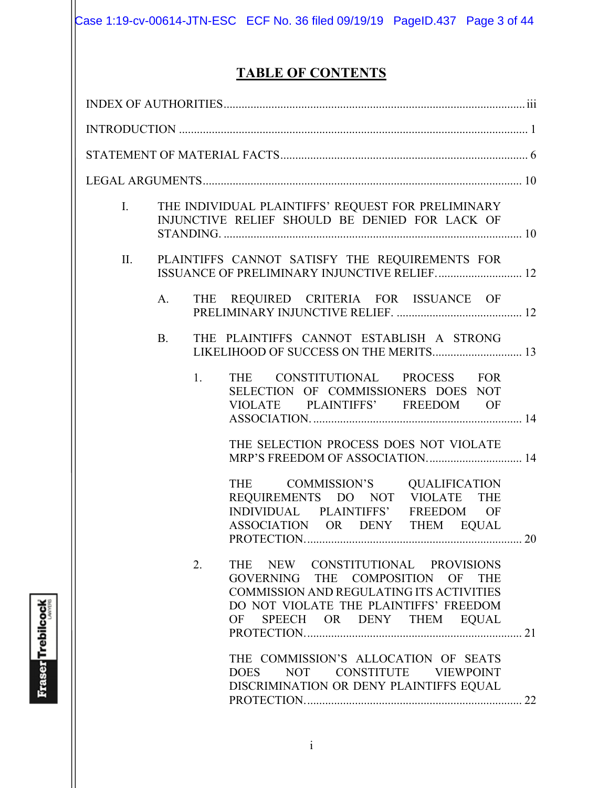# **TABLE OF CONTENTS**

| I. |           | THE INDIVIDUAL PLAINTIFFS' REQUEST FOR PRELIMINARY<br>INJUNCTIVE RELIEF SHOULD BE DENIED FOR LACK OF                                                                                           |
|----|-----------|------------------------------------------------------------------------------------------------------------------------------------------------------------------------------------------------|
| П. |           | PLAINTIFFS CANNOT SATISFY THE REQUIREMENTS FOR<br>ISSUANCE OF PRELIMINARY INJUNCTIVE RELIEF 12                                                                                                 |
|    | A.        | THE REQUIRED CRITERIA FOR ISSUANCE OF                                                                                                                                                          |
|    | <b>B.</b> | THE PLAINTIFFS CANNOT ESTABLISH A STRONG                                                                                                                                                       |
|    | 1.        | THE CONSTITUTIONAL PROCESS FOR<br>SELECTION OF COMMISSIONERS DOES NOT<br>VIOLATE PLAINTIFFS' FREEDOM OF                                                                                        |
|    |           | THE SELECTION PROCESS DOES NOT VIOLATE                                                                                                                                                         |
|    |           | THE COMMISSION'S QUALIFICATION<br>REQUIREMENTS DO NOT VIOLATE THE<br>INDIVIDUAL PLAINTIFFS' FREEDOM OF<br>ASSOCIATION OR DENY THEM EQUAL                                                       |
|    | 2.        | THE NEW CONSTITUTIONAL PROVISIONS<br>GOVERNING THE COMPOSITION OF THE<br>COMMISSION AND REGULATING ITS ACTIVITIES<br>DO NOT VIOLATE THE PLAINTIFFS' FREEDOM<br>SPEECH OR DENY THEM EQUAL<br>OF |
|    |           | THE COMMISSION'S ALLOCATION OF SEATS<br>NOT CONSTITUTE VIEWPOINT<br><b>DOES</b><br>DISCRIMINATION OR DENY PLAINTIFFS EQUAL                                                                     |

**Fraser Trebilcock**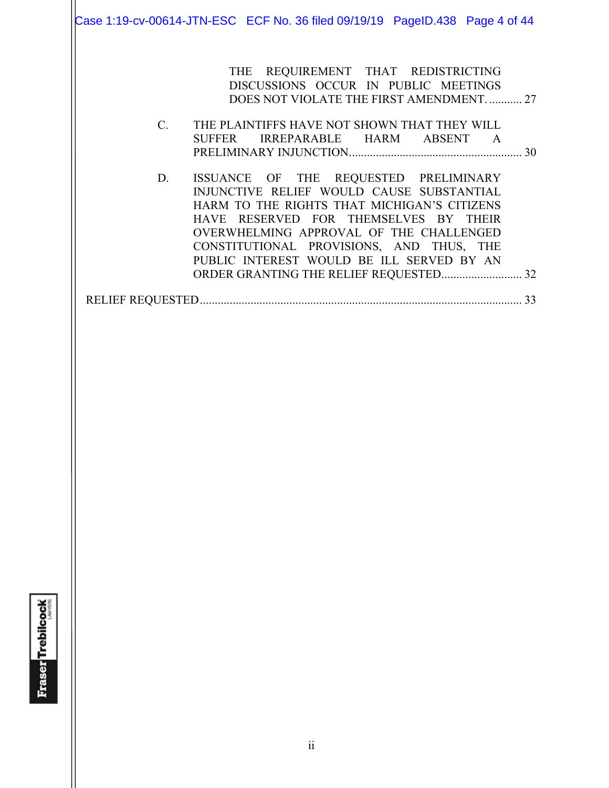Case 1:19-cv-00614-JTN-ESC ECF No. 36 filed 09/19/19 PageID.438 Page 4 of 44

THE REQUIREMENT THAT REDISTRICTING DISCUSSIONS OCCUR IN PUBLIC MEETINGS DOES NOT VIOLATE THE FIRST AMENDMENT. ........... 27

- C. THE PLAINTIFFS HAVE NOT SHOWN THAT THEY WILL SUFFER IRREPARABLE HARM ABSENT A PRELIMINARY INJUNCTION. ......................................................... 30
- D. ISSUANCE OF THE REQUESTED PRELIMINARY INJUNCTIVE RELIEF WOULD CAUSE SUBSTANTIAL HARM TO THE RIGHTS THAT MICHIGAN'S CITIZENS HAVE RESERVED FOR THEMSELVES BY THEIR OVERWHELMING APPROVAL OF THE CHALLENGED CONSTITUTIONAL PROVISIONS, AND THUS, THE PUBLIC INTEREST WOULD BE ILL SERVED BY AN ORDER GRANTING THE RELIEF REQUESTED............................ 32

RELIEF REQUESTED ............................................................................................................ 33

**Fraser** Trebilcock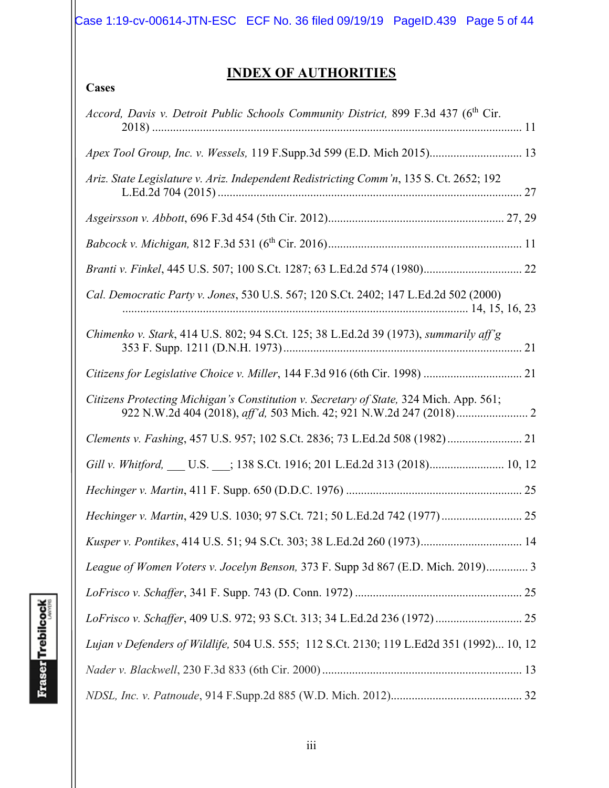Case 1:19-cv-00614-JTN-ESC ECF No. 36 filed 09/19/19 PageID.439 Page 5 of 44

# **INDEX OF AUTHORITIES**

| Accord, Davis v. Detroit Public Schools Community District, 899 F.3d 437 (6th Cir.        |
|-------------------------------------------------------------------------------------------|
| Apex Tool Group, Inc. v. Wessels, 119 F.Supp.3d 599 (E.D. Mich 2015) 13                   |
| Ariz. State Legislature v. Ariz. Independent Redistricting Comm'n, 135 S. Ct. 2652; 192   |
|                                                                                           |
|                                                                                           |
|                                                                                           |
| Cal. Democratic Party v. Jones, 530 U.S. 567; 120 S.Ct. 2402; 147 L.Ed.2d 502 (2000)      |
| Chimenko v. Stark, 414 U.S. 802; 94 S.Ct. 125; 38 L.Ed.2d 39 (1973), summarily aff'g      |
|                                                                                           |
| Citizens Protecting Michigan's Constitution v. Secretary of State, 324 Mich. App. 561;    |
| Clements v. Fashing, 457 U.S. 957; 102 S.Ct. 2836; 73 L.Ed.2d 508 (1982) 21               |
|                                                                                           |
|                                                                                           |
| Hechinger v. Martin, 429 U.S. 1030; 97 S.Ct. 721; 50 L.Ed.2d 742 (1977) 25                |
| Kusper v. Pontikes, 414 U.S. 51; 94 S.Ct. 303; 38 L.Ed.2d 260 (1973) 14                   |
| League of Women Voters v. Jocelyn Benson, 373 F. Supp 3d 867 (E.D. Mich. 2019) 3          |
|                                                                                           |
|                                                                                           |
| Lujan v Defenders of Wildlife, 504 U.S. 555; 112 S.Ct. 2130; 119 L.Ed2d 351 (1992) 10, 12 |
|                                                                                           |
|                                                                                           |

**Cases**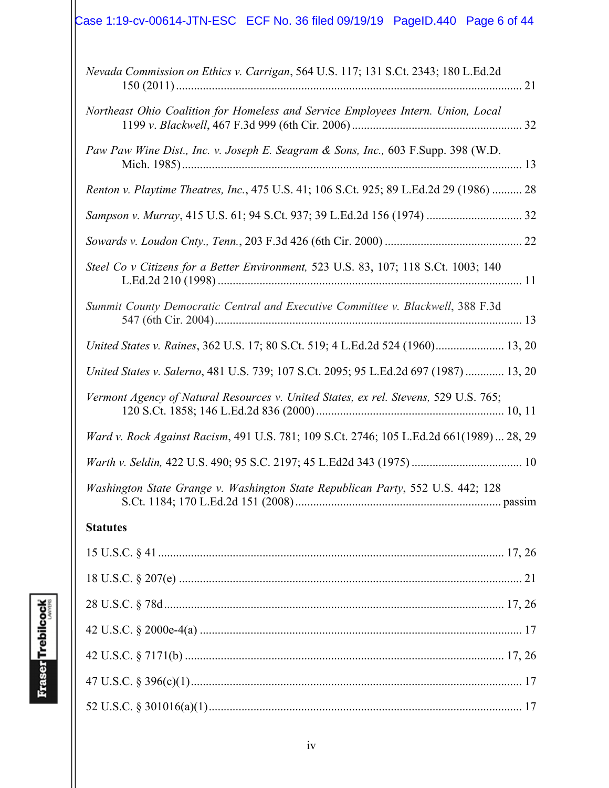# Case 1:19-cv-00614-JTN-ESC ECF No. 36 filed 09/19/19 PageID.440 Page 6 of 44

| Nevada Commission on Ethics v. Carrigan, 564 U.S. 117; 131 S.Ct. 2343; 180 L.Ed.2d       |
|------------------------------------------------------------------------------------------|
| Northeast Ohio Coalition for Homeless and Service Employees Intern. Union, Local         |
| Paw Paw Wine Dist., Inc. v. Joseph E. Seagram & Sons, Inc., 603 F.Supp. 398 (W.D.        |
| Renton v. Playtime Theatres, Inc., 475 U.S. 41; 106 S.Ct. 925; 89 L.Ed.2d 29 (1986)  28  |
|                                                                                          |
|                                                                                          |
| Steel Co v Citizens for a Better Environment, 523 U.S. 83, 107; 118 S.Ct. 1003; 140      |
| Summit County Democratic Central and Executive Committee v. Blackwell, 388 F.3d          |
| United States v. Raines, 362 U.S. 17; 80 S.Ct. 519; 4 L.Ed.2d 524 (1960) 13, 20          |
| United States v. Salerno, 481 U.S. 739; 107 S.Ct. 2095; 95 L.Ed.2d 697 (1987)  13, 20    |
| Vermont Agency of Natural Resources v. United States, ex rel. Stevens, 529 U.S. 765;     |
| Ward v. Rock Against Racism, 491 U.S. 781; 109 S.Ct. 2746; 105 L.Ed.2d 661(1989)  28, 29 |
|                                                                                          |
| Washington State Grange v. Washington State Republican Party, 552 U.S. 442; 128          |
| <b>Statutes</b>                                                                          |
|                                                                                          |
|                                                                                          |
|                                                                                          |
|                                                                                          |
|                                                                                          |
|                                                                                          |
|                                                                                          |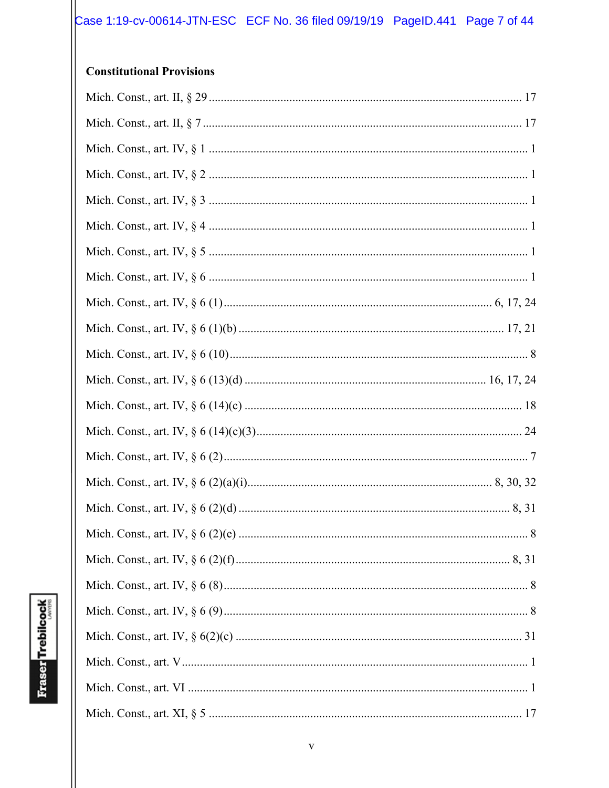## **Constitutional Provisions**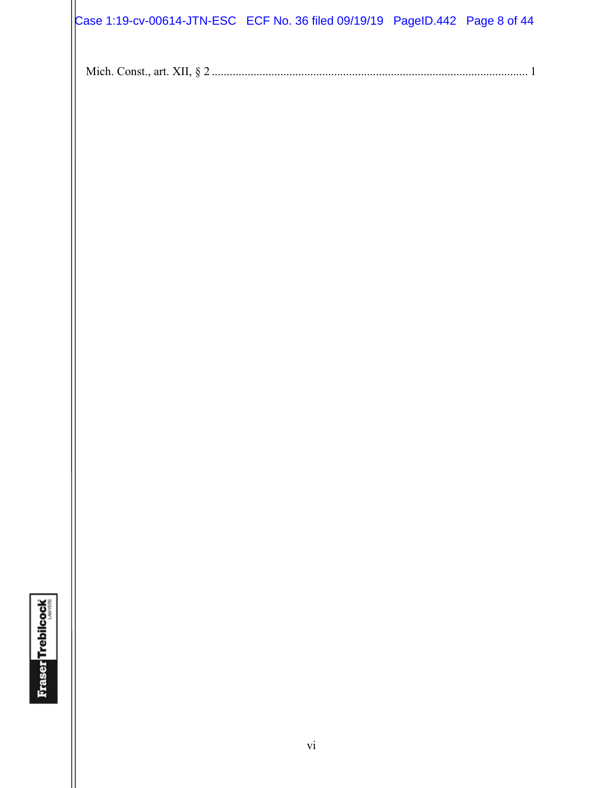| Case 1:19-cv-00614-JTN-ESC ECF No. 36 filed 09/19/19 PageID.442 Page 8 of 44 |  |  |
|------------------------------------------------------------------------------|--|--|

|--|--|--|--|--|--|--|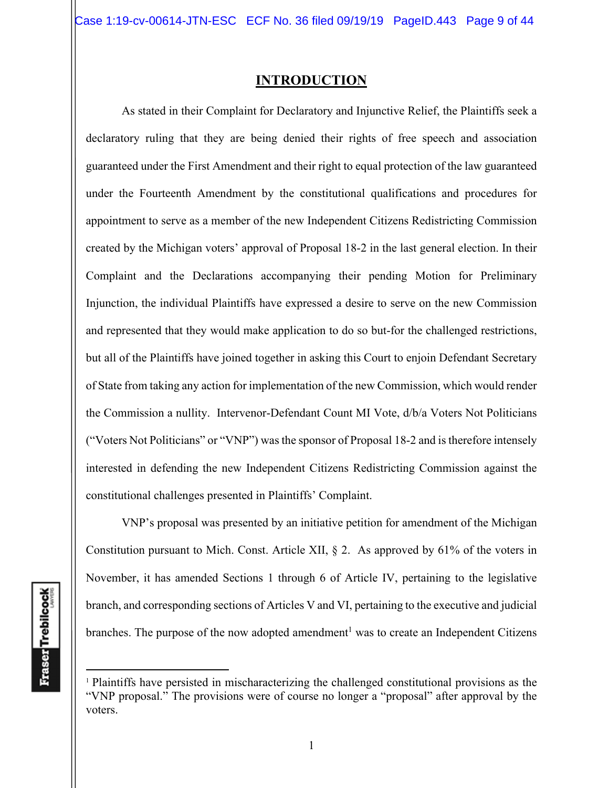## **INTRODUCTION**

As stated in their Complaint for Declaratory and Injunctive Relief, the Plaintiffs seek a declaratory ruling that they are being denied their rights of free speech and association guaranteed under the First Amendment and their right to equal protection of the law guaranteed under the Fourteenth Amendment by the constitutional qualifications and procedures for appointment to serve as a member of the new Independent Citizens Redistricting Commission created by the Michigan voters' approval of Proposal 18-2 in the last general election. In their Complaint and the Declarations accompanying their pending Motion for Preliminary Injunction, the individual Plaintiffs have expressed a desire to serve on the new Commission and represented that they would make application to do so but-for the challenged restrictions, but all of the Plaintiffs have joined together in asking this Court to enjoin Defendant Secretary of State from taking any action for implementation of the new Commission, which would render the Commission a nullity. Intervenor-Defendant Count MI Vote, d/b/a Voters Not Politicians ("Voters Not Politicians" or "VNP") was the sponsor of Proposal 18-2 and is therefore intensely interested in defending the new Independent Citizens Redistricting Commission against the constitutional challenges presented in Plaintiffs' Complaint.

VNP's proposal was presented by an initiative petition for amendment of the Michigan Constitution pursuant to Mich. Const. Article XII, § 2. As approved by 61% of the voters in November, it has amended Sections 1 through 6 of Article IV, pertaining to the legislative branch, and corresponding sections of Articles V and VI, pertaining to the executive and judicial branches. The purpose of the now adopted amendment<sup>1</sup> was to create an Independent Citizens

<sup>1</sup> Plaintiffs have persisted in mischaracterizing the challenged constitutional provisions as the "VNP proposal." The provisions were of course no longer a "proposal" after approval by the voters.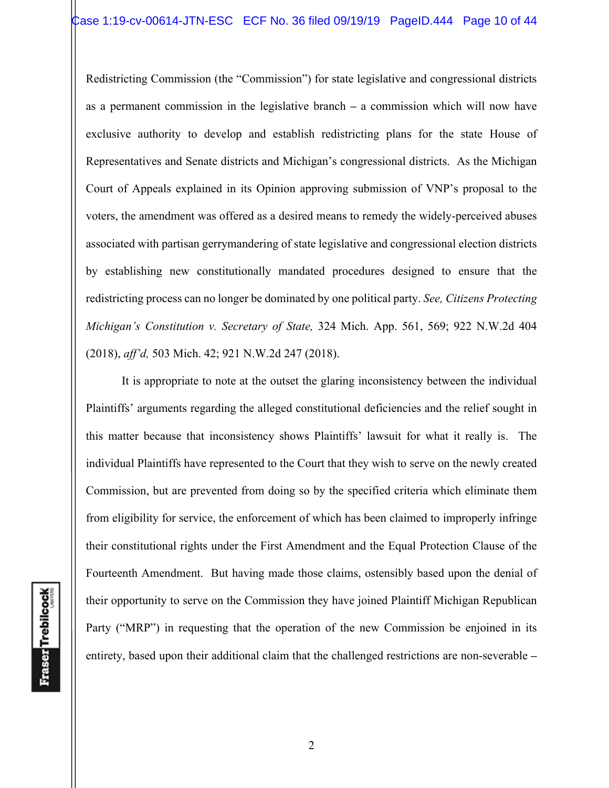Redistricting Commission (the "Commission") for state legislative and congressional districts as a permanent commission in the legislative branch **–** a commission which will now have exclusive authority to develop and establish redistricting plans for the state House of Representatives and Senate districts and Michigan's congressional districts. As the Michigan Court of Appeals explained in its Opinion approving submission of VNP's proposal to the voters, the amendment was offered as a desired means to remedy the widely-perceived abuses associated with partisan gerrymandering of state legislative and congressional election districts by establishing new constitutionally mandated procedures designed to ensure that the redistricting process can no longer be dominated by one political party. *See, Citizens Protecting Michigan's Constitution v. Secretary of State,* 324 Mich. App. 561, 569; 922 N.W.2d 404 (2018), *aff'd,* 503 Mich. 42; 921 N.W.2d 247 (2018).

It is appropriate to note at the outset the glaring inconsistency between the individual Plaintiffs' arguments regarding the alleged constitutional deficiencies and the relief sought in this matter because that inconsistency shows Plaintiffs' lawsuit for what it really is. The individual Plaintiffs have represented to the Court that they wish to serve on the newly created Commission, but are prevented from doing so by the specified criteria which eliminate them from eligibility for service, the enforcement of which has been claimed to improperly infringe their constitutional rights under the First Amendment and the Equal Protection Clause of the Fourteenth Amendment. But having made those claims, ostensibly based upon the denial of their opportunity to serve on the Commission they have joined Plaintiff Michigan Republican Party ("MRP") in requesting that the operation of the new Commission be enjoined in its entirety, based upon their additional claim that the challenged restrictions are non-severable **–**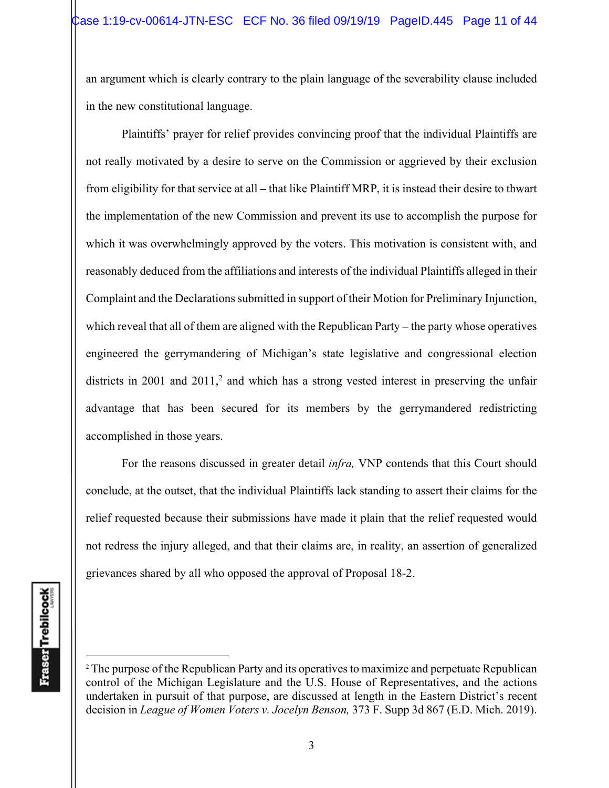an argument which is clearly contrary to the plain language of the severability clause included in the new constitutional language.

Plaintiffs' prayer for relief provides convincing proof that the individual Plaintiffs are not really motivated by a desire to serve on the Commission or aggrieved by their exclusion from eligibility for that service at all **–** that like Plaintiff MRP, it is instead their desire to thwart the implementation of the new Commission and prevent its use to accomplish the purpose for which it was overwhelmingly approved by the voters. This motivation is consistent with, and reasonably deduced from the affiliations and interests of the individual Plaintiffs alleged in their Complaint and the Declarations submitted in support of their Motion for Preliminary Injunction, which reveal that all of them are aligned with the Republican Party **–** the party whose operatives engineered the gerrymandering of Michigan's state legislative and congressional election districts in 2001 and 2011,<sup>2</sup> and which has a strong vested interest in preserving the unfair advantage that has been secured for its members by the gerrymandered redistricting accomplished in those years.

For the reasons discussed in greater detail *infra,* VNP contends that this Court should conclude, at the outset, that the individual Plaintiffs lack standing to assert their claims for the relief requested because their submissions have made it plain that the relief requested would not redress the injury alleged, and that their claims are, in reality, an assertion of generalized grievances shared by all who opposed the approval of Proposal 18-2.

<sup>&</sup>lt;sup>2</sup> The purpose of the Republican Party and its operatives to maximize and perpetuate Republican control of the Michigan Legislature and the U.S. House of Representatives, and the actions undertaken in pursuit of that purpose, are discussed at length in the Eastern District's recent decision in *League of Women Voters v. Jocelyn Benson,* 373 F. Supp 3d 867 (E.D. Mich. 2019).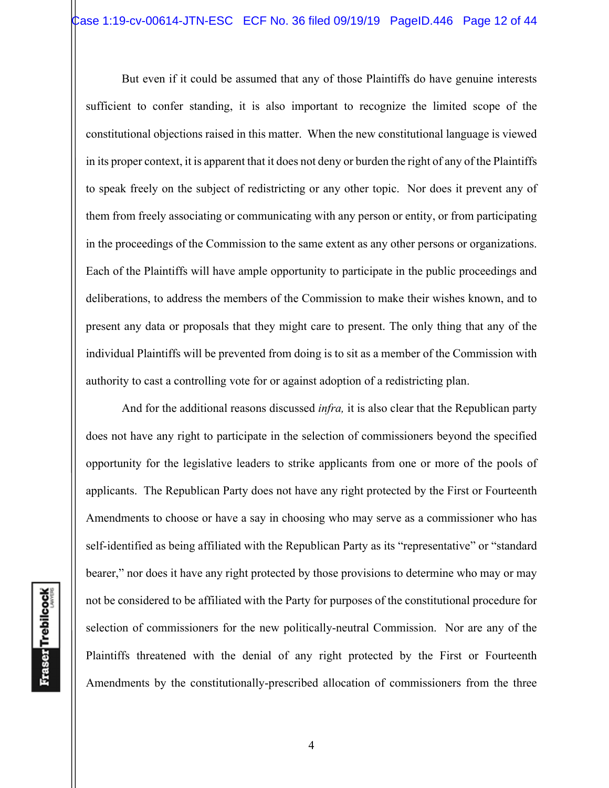But even if it could be assumed that any of those Plaintiffs do have genuine interests sufficient to confer standing, it is also important to recognize the limited scope of the constitutional objections raised in this matter. When the new constitutional language is viewed in its proper context, it is apparent that it does not deny or burden the right of any of the Plaintiffs to speak freely on the subject of redistricting or any other topic. Nor does it prevent any of them from freely associating or communicating with any person or entity, or from participating in the proceedings of the Commission to the same extent as any other persons or organizations. Each of the Plaintiffs will have ample opportunity to participate in the public proceedings and deliberations, to address the members of the Commission to make their wishes known, and to present any data or proposals that they might care to present. The only thing that any of the individual Plaintiffs will be prevented from doing is to sit as a member of the Commission with authority to cast a controlling vote for or against adoption of a redistricting plan.

And for the additional reasons discussed *infra,* it is also clear that the Republican party does not have any right to participate in the selection of commissioners beyond the specified opportunity for the legislative leaders to strike applicants from one or more of the pools of applicants. The Republican Party does not have any right protected by the First or Fourteenth Amendments to choose or have a say in choosing who may serve as a commissioner who has self-identified as being affiliated with the Republican Party as its "representative" or "standard bearer," nor does it have any right protected by those provisions to determine who may or may not be considered to be affiliated with the Party for purposes of the constitutional procedure for selection of commissioners for the new politically-neutral Commission. Nor are any of the Plaintiffs threatened with the denial of any right protected by the First or Fourteenth Amendments by the constitutionally-prescribed allocation of commissioners from the three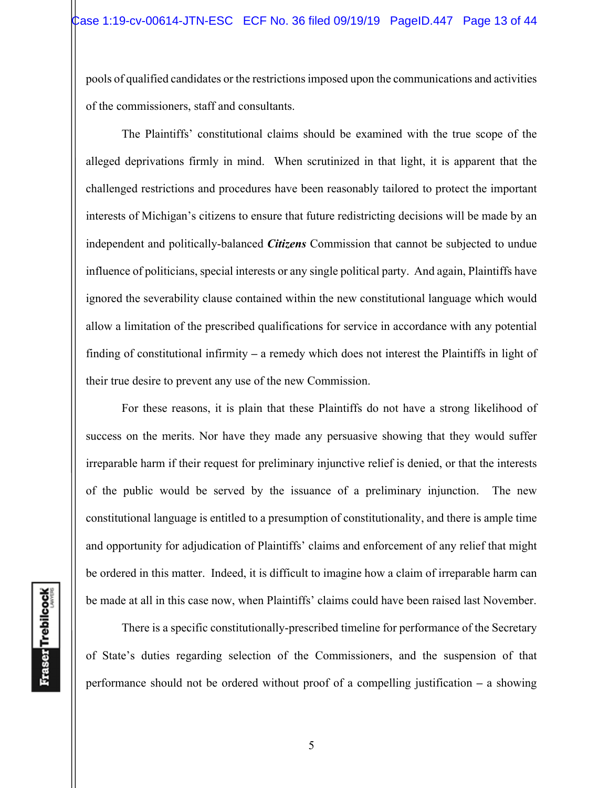pools of qualified candidates or the restrictions imposed upon the communications and activities of the commissioners, staff and consultants.

The Plaintiffs' constitutional claims should be examined with the true scope of the alleged deprivations firmly in mind. When scrutinized in that light, it is apparent that the challenged restrictions and procedures have been reasonably tailored to protect the important interests of Michigan's citizens to ensure that future redistricting decisions will be made by an independent and politically-balanced *Citizens* Commission that cannot be subjected to undue influence of politicians, special interests or any single political party. And again, Plaintiffs have ignored the severability clause contained within the new constitutional language which would allow a limitation of the prescribed qualifications for service in accordance with any potential finding of constitutional infirmity **–** a remedy which does not interest the Plaintiffs in light of their true desire to prevent any use of the new Commission.

For these reasons, it is plain that these Plaintiffs do not have a strong likelihood of success on the merits. Nor have they made any persuasive showing that they would suffer irreparable harm if their request for preliminary injunctive relief is denied, or that the interests of the public would be served by the issuance of a preliminary injunction. The new constitutional language is entitled to a presumption of constitutionality, and there is ample time and opportunity for adjudication of Plaintiffs' claims and enforcement of any relief that might be ordered in this matter. Indeed, it is difficult to imagine how a claim of irreparable harm can be made at all in this case now, when Plaintiffs' claims could have been raised last November.

There is a specific constitutionally-prescribed timeline for performance of the Secretary of State's duties regarding selection of the Commissioners, and the suspension of that performance should not be ordered without proof of a compelling justification **–** a showing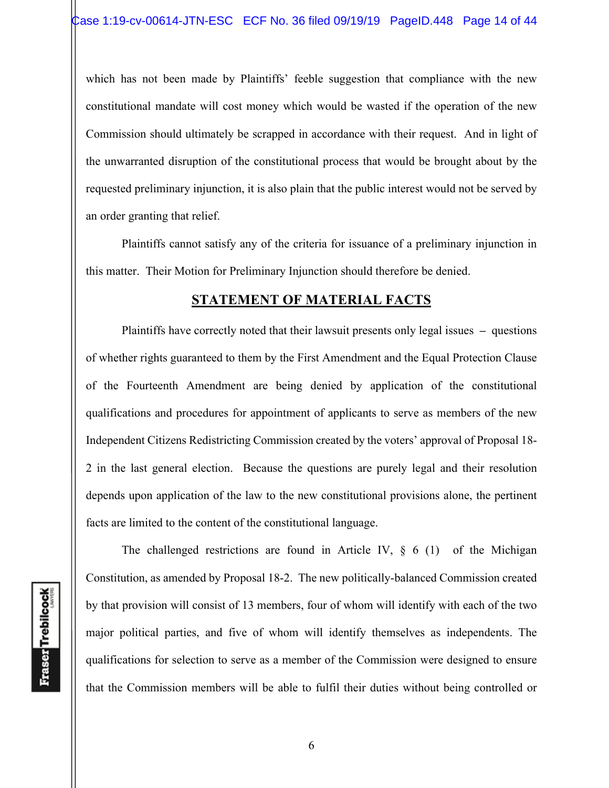which has not been made by Plaintiffs' feeble suggestion that compliance with the new constitutional mandate will cost money which would be wasted if the operation of the new Commission should ultimately be scrapped in accordance with their request. And in light of the unwarranted disruption of the constitutional process that would be brought about by the requested preliminary injunction, it is also plain that the public interest would not be served by an order granting that relief.

Plaintiffs cannot satisfy any of the criteria for issuance of a preliminary injunction in this matter. Their Motion for Preliminary Injunction should therefore be denied.

## **STATEMENT OF MATERIAL FACTS**

 Plaintiffs have correctly noted that their lawsuit presents only legal issues **–** questions of whether rights guaranteed to them by the First Amendment and the Equal Protection Clause of the Fourteenth Amendment are being denied by application of the constitutional qualifications and procedures for appointment of applicants to serve as members of the new Independent Citizens Redistricting Commission created by the voters' approval of Proposal 18- 2 in the last general election. Because the questions are purely legal and their resolution depends upon application of the law to the new constitutional provisions alone, the pertinent facts are limited to the content of the constitutional language.

**Fraser** Trebilcock

The challenged restrictions are found in Article IV,  $\S$  6 (1) of the Michigan Constitution, as amended by Proposal 18-2. The new politically-balanced Commission created by that provision will consist of 13 members, four of whom will identify with each of the two major political parties, and five of whom will identify themselves as independents. The qualifications for selection to serve as a member of the Commission were designed to ensure that the Commission members will be able to fulfil their duties without being controlled or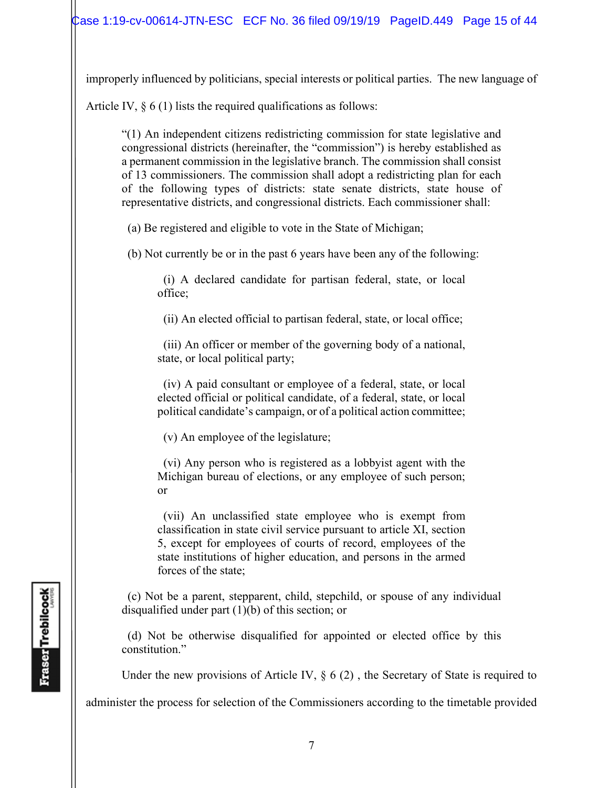improperly influenced by politicians, special interests or political parties. The new language of

Article IV,  $\S 6(1)$  lists the required qualifications as follows:

"(1) An independent citizens redistricting commission for state legislative and congressional districts (hereinafter, the "commission") is hereby established as a permanent commission in the legislative branch. The commission shall consist of 13 commissioners. The commission shall adopt a redistricting plan for each of the following types of districts: state senate districts, state house of representative districts, and congressional districts. Each commissioner shall:

(a) Be registered and eligible to vote in the State of Michigan;

(b) Not currently be or in the past 6 years have been any of the following:

 (i) A declared candidate for partisan federal, state, or local office;

(ii) An elected official to partisan federal, state, or local office;

 (iii) An officer or member of the governing body of a national, state, or local political party;

 (iv) A paid consultant or employee of a federal, state, or local elected official or political candidate, of a federal, state, or local political candidate's campaign, or of a political action committee;

(v) An employee of the legislature;

 (vi) Any person who is registered as a lobbyist agent with the Michigan bureau of elections, or any employee of such person; or

 (vii) An unclassified state employee who is exempt from classification in state civil service pursuant to article XI, section 5, except for employees of courts of record, employees of the state institutions of higher education, and persons in the armed forces of the state;

 (c) Not be a parent, stepparent, child, stepchild, or spouse of any individual disqualified under part (1)(b) of this section; or

 (d) Not be otherwise disqualified for appointed or elected office by this constitution."

Under the new provisions of Article IV,  $\S 6(2)$ , the Secretary of State is required to

administer the process for selection of the Commissioners according to the timetable provided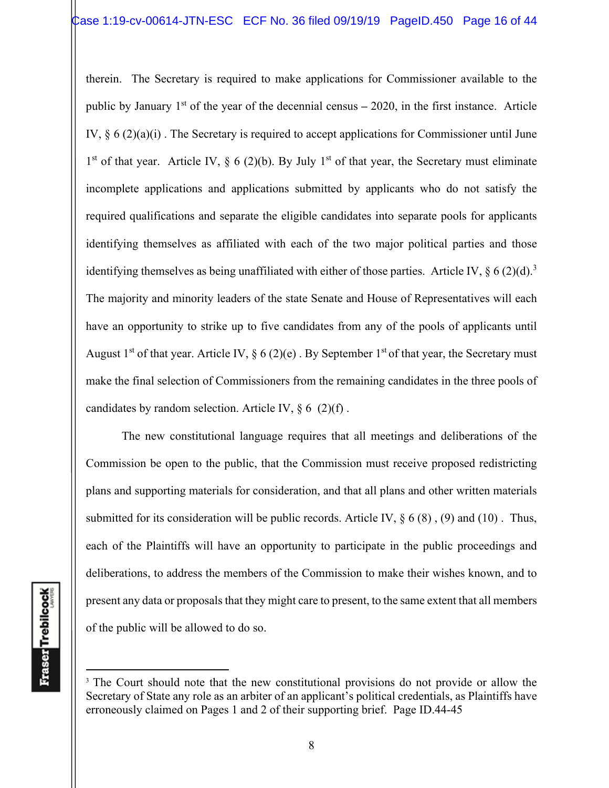therein. The Secretary is required to make applications for Commissioner available to the public by January 1st of the year of the decennial census **–** 2020, in the first instance. Article IV,  $\S 6 (2)(a)(i)$ . The Secretary is required to accept applications for Commissioner until June  $1<sup>st</sup>$  of that year. Article IV, § 6 (2)(b). By July  $1<sup>st</sup>$  of that year, the Secretary must eliminate incomplete applications and applications submitted by applicants who do not satisfy the required qualifications and separate the eligible candidates into separate pools for applicants identifying themselves as affiliated with each of the two major political parties and those identifying themselves as being unaffiliated with either of those parties. Article IV,  $\S 6 (2)(d).$ <sup>3</sup> The majority and minority leaders of the state Senate and House of Representatives will each have an opportunity to strike up to five candidates from any of the pools of applicants until August 1<sup>st</sup> of that year. Article IV,  $\S 6 (2)(e)$ . By September 1<sup>st</sup> of that year, the Secretary must make the final selection of Commissioners from the remaining candidates in the three pools of candidates by random selection. Article IV,  $\S 6$  (2)(f).

 The new constitutional language requires that all meetings and deliberations of the Commission be open to the public, that the Commission must receive proposed redistricting plans and supporting materials for consideration, and that all plans and other written materials submitted for its consideration will be public records. Article IV,  $\S 6 (8)$ , (9) and (10). Thus, each of the Plaintiffs will have an opportunity to participate in the public proceedings and deliberations, to address the members of the Commission to make their wishes known, and to present any data or proposals that they might care to present, to the same extent that all members of the public will be allowed to do so.

<sup>&</sup>lt;sup>3</sup> The Court should note that the new constitutional provisions do not provide or allow the Secretary of State any role as an arbiter of an applicant's political credentials, as Plaintiffs have erroneously claimed on Pages 1 and 2 of their supporting brief. Page ID.44-45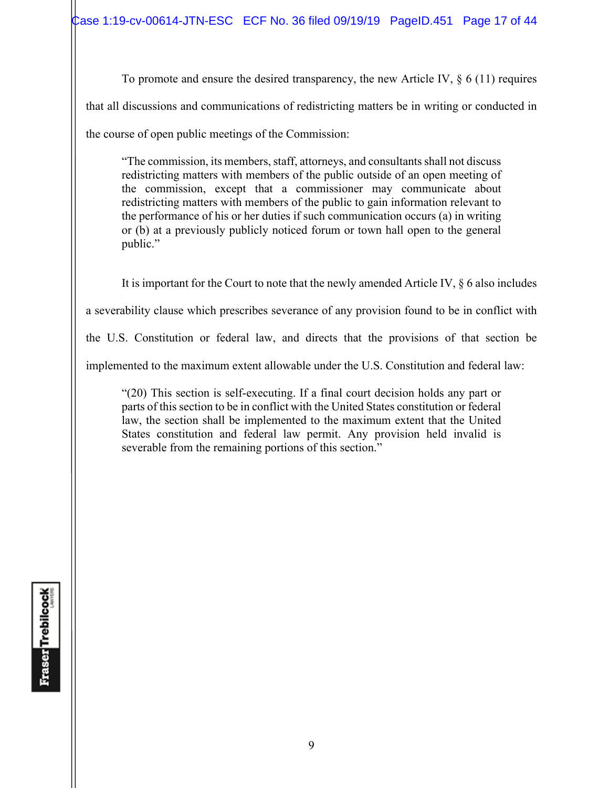To promote and ensure the desired transparency, the new Article IV,  $\S 6$  (11) requires that all discussions and communications of redistricting matters be in writing or conducted in the course of open public meetings of the Commission:

"The commission, its members, staff, attorneys, and consultants shall not discuss redistricting matters with members of the public outside of an open meeting of the commission, except that a commissioner may communicate about redistricting matters with members of the public to gain information relevant to the performance of his or her duties if such communication occurs (a) in writing or (b) at a previously publicly noticed forum or town hall open to the general public."

 It is important for the Court to note that the newly amended Article IV, § 6 also includes a severability clause which prescribes severance of any provision found to be in conflict with the U.S. Constitution or federal law, and directs that the provisions of that section be implemented to the maximum extent allowable under the U.S. Constitution and federal law:

"(20) This section is self-executing. If a final court decision holds any part or parts of this section to be in conflict with the United States constitution or federal law, the section shall be implemented to the maximum extent that the United States constitution and federal law permit. Any provision held invalid is severable from the remaining portions of this section."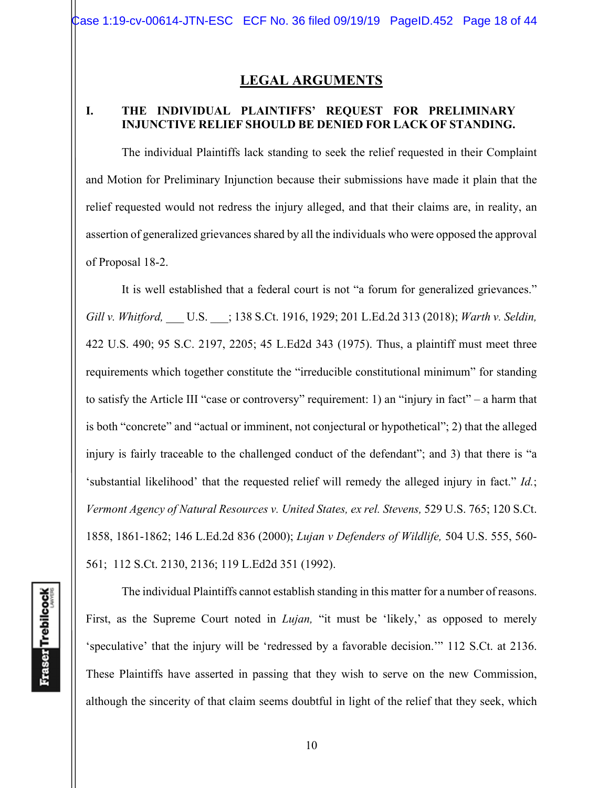## **LEGAL ARGUMENTS**

### **I. THE INDIVIDUAL PLAINTIFFS' REQUEST FOR PRELIMINARY INJUNCTIVE RELIEF SHOULD BE DENIED FOR LACK OF STANDING.**

The individual Plaintiffs lack standing to seek the relief requested in their Complaint and Motion for Preliminary Injunction because their submissions have made it plain that the relief requested would not redress the injury alleged, and that their claims are, in reality, an assertion of generalized grievances shared by all the individuals who were opposed the approval of Proposal 18-2.

It is well established that a federal court is not "a forum for generalized grievances." *Gill v. Whitford,* \_\_\_ U.S. \_\_\_; 138 S.Ct. 1916, 1929; 201 L.Ed.2d 313 (2018); *Warth v. Seldin,*  422 U.S. 490; 95 S.C. 2197, 2205; 45 L.Ed2d 343 (1975). Thus, a plaintiff must meet three requirements which together constitute the "irreducible constitutional minimum" for standing to satisfy the Article III "case or controversy" requirement: 1) an "injury in fact" – a harm that is both "concrete" and "actual or imminent, not conjectural or hypothetical"; 2) that the alleged injury is fairly traceable to the challenged conduct of the defendant"; and 3) that there is "a 'substantial likelihood' that the requested relief will remedy the alleged injury in fact." *Id.*; *Vermont Agency of Natural Resources v. United States, ex rel. Stevens,* 529 U.S. 765; 120 S.Ct. 1858, 1861-1862; 146 L.Ed.2d 836 (2000); *Lujan v Defenders of Wildlife,* 504 U.S. 555, 560- 561;112 S.Ct. 2130, 2136; 119 L.Ed2d 351 (1992).

The individual Plaintiffs cannot establish standing in this matter for a number of reasons. First, as the Supreme Court noted in *Lujan*, "it must be 'likely,' as opposed to merely 'speculative' that the injury will be 'redressed by a favorable decision.'" 112 S.Ct. at 2136. These Plaintiffs have asserted in passing that they wish to serve on the new Commission, although the sincerity of that claim seems doubtful in light of the relief that they seek, which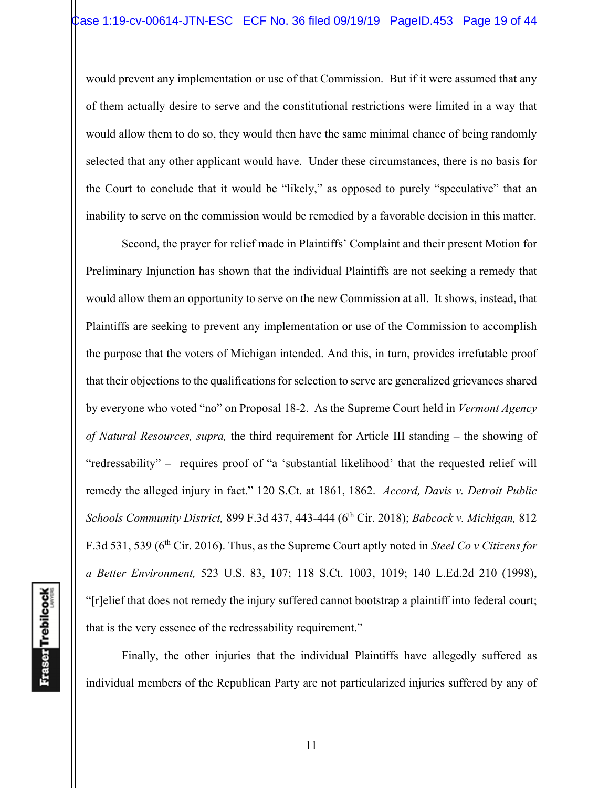would prevent any implementation or use of that Commission. But if it were assumed that any of them actually desire to serve and the constitutional restrictions were limited in a way that would allow them to do so, they would then have the same minimal chance of being randomly selected that any other applicant would have. Under these circumstances, there is no basis for the Court to conclude that it would be "likely," as opposed to purely "speculative" that an inability to serve on the commission would be remedied by a favorable decision in this matter.

Second, the prayer for relief made in Plaintiffs' Complaint and their present Motion for Preliminary Injunction has shown that the individual Plaintiffs are not seeking a remedy that would allow them an opportunity to serve on the new Commission at all. It shows, instead, that Plaintiffs are seeking to prevent any implementation or use of the Commission to accomplish the purpose that the voters of Michigan intended. And this, in turn, provides irrefutable proof that their objections to the qualifications for selection to serve are generalized grievances shared by everyone who voted "no" on Proposal 18-2. As the Supreme Court held in *Vermont Agency of Natural Resources, supra,* the third requirement for Article III standing **–** the showing of "redressability" **–** requires proof of "a 'substantial likelihood' that the requested relief will remedy the alleged injury in fact." 120 S.Ct. at 1861, 1862. *Accord, Davis v. Detroit Public Schools Community District,* 899 F.3d 437, 443-444 (6th Cir. 2018); *Babcock v. Michigan,* 812 F.3d 531, 539 (6<sup>th</sup> Cir. 2016). Thus, as the Supreme Court aptly noted in *Steel Co v Citizens for a Better Environment,* 523 U.S. 83, 107; 118 S.Ct. 1003, 1019; 140 L.Ed.2d 210 (1998), "[r]elief that does not remedy the injury suffered cannot bootstrap a plaintiff into federal court; that is the very essence of the redressability requirement."

Finally, the other injuries that the individual Plaintiffs have allegedly suffered as individual members of the Republican Party are not particularized injuries suffered by any of

**Fraser** Trebilcock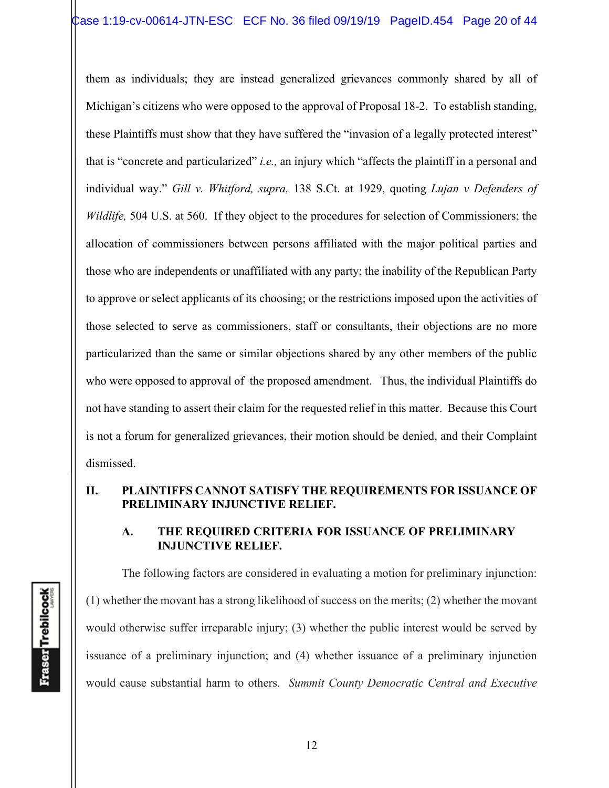them as individuals; they are instead generalized grievances commonly shared by all of Michigan's citizens who were opposed to the approval of Proposal 18-2. To establish standing, these Plaintiffs must show that they have suffered the "invasion of a legally protected interest" that is "concrete and particularized" *i.e.,* an injury which "affects the plaintiff in a personal and individual way." *Gill v. Whitford, supra,* 138 S.Ct. at 1929, quoting *Lujan v Defenders of Wildlife,* 504 U.S. at 560. If they object to the procedures for selection of Commissioners; the allocation of commissioners between persons affiliated with the major political parties and those who are independents or unaffiliated with any party; the inability of the Republican Party to approve or select applicants of its choosing; or the restrictions imposed upon the activities of those selected to serve as commissioners, staff or consultants, their objections are no more particularized than the same or similar objections shared by any other members of the public who were opposed to approval of the proposed amendment. Thus, the individual Plaintiffs do not have standing to assert their claim for the requested relief in this matter. Because this Court is not a forum for generalized grievances, their motion should be denied, and their Complaint dismissed.

## **II. PLAINTIFFS CANNOT SATISFY THE REQUIREMENTS FOR ISSUANCE OF PRELIMINARY INJUNCTIVE RELIEF.**

#### **A. THE REQUIRED CRITERIA FOR ISSUANCE OF PRELIMINARY INJUNCTIVE RELIEF.**

The following factors are considered in evaluating a motion for preliminary injunction: (1) whether the movant has a strong likelihood of success on the merits; (2) whether the movant would otherwise suffer irreparable injury; (3) whether the public interest would be served by issuance of a preliminary injunction; and (4) whether issuance of a preliminary injunction would cause substantial harm to others. *Summit County Democratic Central and Executive*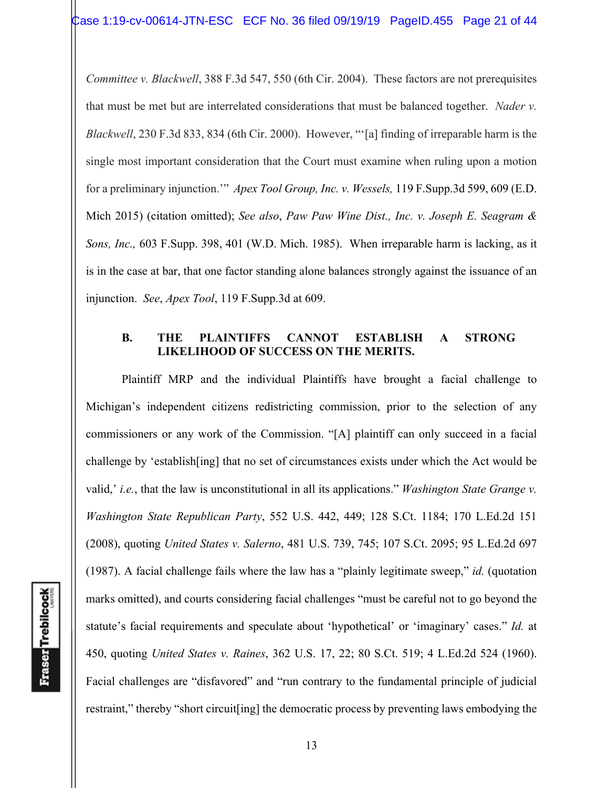*Committee v. Blackwell*, 388 F.3d 547, 550 (6th Cir. 2004). These factors are not prerequisites that must be met but are interrelated considerations that must be balanced together. *Nader v. Blackwell*, 230 F.3d 833, 834 (6th Cir. 2000). However, "'[a] finding of irreparable harm is the single most important consideration that the Court must examine when ruling upon a motion for a preliminary injunction.'" *Apex Tool Group, Inc. v. Wessels,* 119 F.Supp.3d 599, 609 (E.D. Mich 2015) (citation omitted); *See also*, *Paw Paw Wine Dist., Inc. v. Joseph E. Seagram & Sons, Inc.,* 603 F.Supp. 398, 401 (W.D. Mich. 1985). When irreparable harm is lacking, as it is in the case at bar, that one factor standing alone balances strongly against the issuance of an injunction. *See*, *Apex Tool*, 119 F.Supp.3d at 609.

## **B. THE PLAINTIFFS CANNOT ESTABLISH A STRONG LIKELIHOOD OF SUCCESS ON THE MERITS.**

Plaintiff MRP and the individual Plaintiffs have brought a facial challenge to Michigan's independent citizens redistricting commission, prior to the selection of any commissioners or any work of the Commission. "[A] plaintiff can only succeed in a facial challenge by 'establish[ing] that no set of circumstances exists under which the Act would be valid,' *i.e.*, that the law is unconstitutional in all its applications." *Washington State Grange v. Washington State Republican Party*, 552 U.S. 442, 449; 128 S.Ct. 1184; 170 L.Ed.2d 151 (2008), quoting *United States v. Salerno*, 481 U.S. 739, 745; 107 S.Ct. 2095; 95 L.Ed.2d 697 (1987). A facial challenge fails where the law has a "plainly legitimate sweep," *id.* (quotation marks omitted), and courts considering facial challenges "must be careful not to go beyond the statute's facial requirements and speculate about 'hypothetical' or 'imaginary' cases." *Id.* at 450, quoting *United States v. Raines*, 362 U.S. 17, 22; 80 S.Ct. 519; 4 L.Ed.2d 524 (1960). Facial challenges are "disfavored" and "run contrary to the fundamental principle of judicial restraint," thereby "short circuit[ing] the democratic process by preventing laws embodying the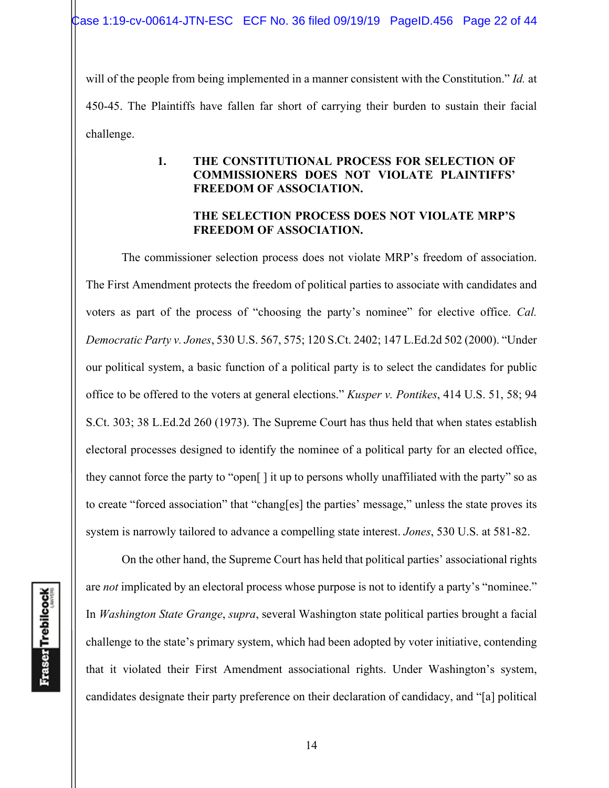will of the people from being implemented in a manner consistent with the Constitution." *Id.* at 450-45. The Plaintiffs have fallen far short of carrying their burden to sustain their facial challenge.

## **1. THE CONSTITUTIONAL PROCESS FOR SELECTION OF COMMISSIONERS DOES NOT VIOLATE PLAINTIFFS' FREEDOM OF ASSOCIATION.**

### **THE SELECTION PROCESS DOES NOT VIOLATE MRP'S FREEDOM OF ASSOCIATION.**

 The commissioner selection process does not violate MRP's freedom of association. The First Amendment protects the freedom of political parties to associate with candidates and voters as part of the process of "choosing the party's nominee" for elective office. *Cal. Democratic Party v. Jones*, 530 U.S. 567, 575; 120 S.Ct. 2402; 147 L.Ed.2d 502 (2000). "Under our political system, a basic function of a political party is to select the candidates for public office to be offered to the voters at general elections." *Kusper v. Pontikes*, 414 U.S. 51, 58; 94 S.Ct. 303; 38 L.Ed.2d 260 (1973). The Supreme Court has thus held that when states establish electoral processes designed to identify the nominee of a political party for an elected office, they cannot force the party to "open[ ] it up to persons wholly unaffiliated with the party" so as to create "forced association" that "chang[es] the parties' message," unless the state proves its system is narrowly tailored to advance a compelling state interest. *Jones*, 530 U.S. at 581-82.

 On the other hand, the Supreme Court has held that political parties' associational rights are *not* implicated by an electoral process whose purpose is not to identify a party's "nominee." In *Washington State Grange*, *supra*, several Washington state political parties brought a facial challenge to the state's primary system, which had been adopted by voter initiative, contending that it violated their First Amendment associational rights. Under Washington's system, candidates designate their party preference on their declaration of candidacy, and "[a] political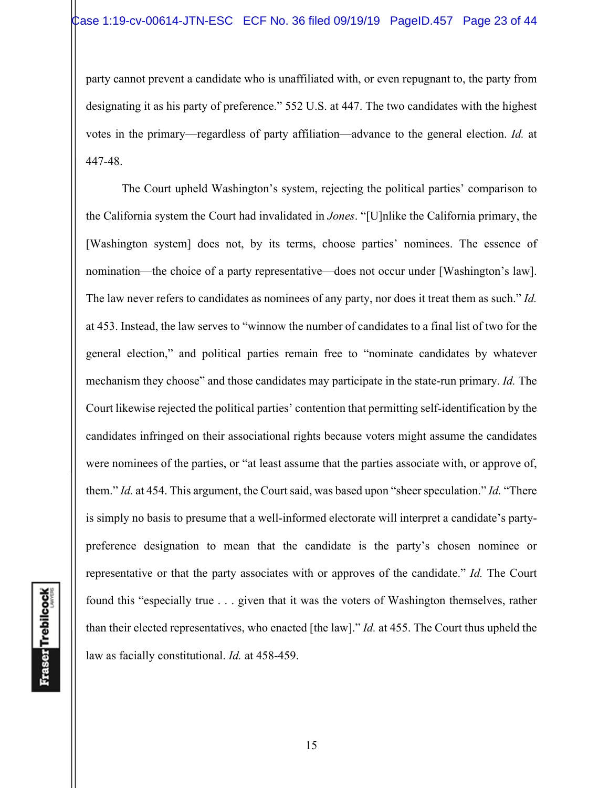party cannot prevent a candidate who is unaffiliated with, or even repugnant to, the party from designating it as his party of preference." 552 U.S. at 447. The two candidates with the highest votes in the primary—regardless of party affiliation—advance to the general election. *Id.* at 447-48.

The Court upheld Washington's system, rejecting the political parties' comparison to the California system the Court had invalidated in *Jones*. "[U]nlike the California primary, the [Washington system] does not, by its terms, choose parties' nominees. The essence of nomination—the choice of a party representative—does not occur under [Washington's law]. The law never refers to candidates as nominees of any party, nor does it treat them as such." *Id.* at 453. Instead, the law serves to "winnow the number of candidates to a final list of two for the general election," and political parties remain free to "nominate candidates by whatever mechanism they choose" and those candidates may participate in the state-run primary. *Id.* The Court likewise rejected the political parties' contention that permitting self-identification by the candidates infringed on their associational rights because voters might assume the candidates were nominees of the parties, or "at least assume that the parties associate with, or approve of, them." *Id.* at 454. This argument, the Court said, was based upon "sheer speculation." *Id.* "There is simply no basis to presume that a well-informed electorate will interpret a candidate's partypreference designation to mean that the candidate is the party's chosen nominee or representative or that the party associates with or approves of the candidate." *Id.* The Court found this "especially true . . . given that it was the voters of Washington themselves, rather than their elected representatives, who enacted [the law]." *Id.* at 455. The Court thus upheld the law as facially constitutional. *Id.* at 458-459.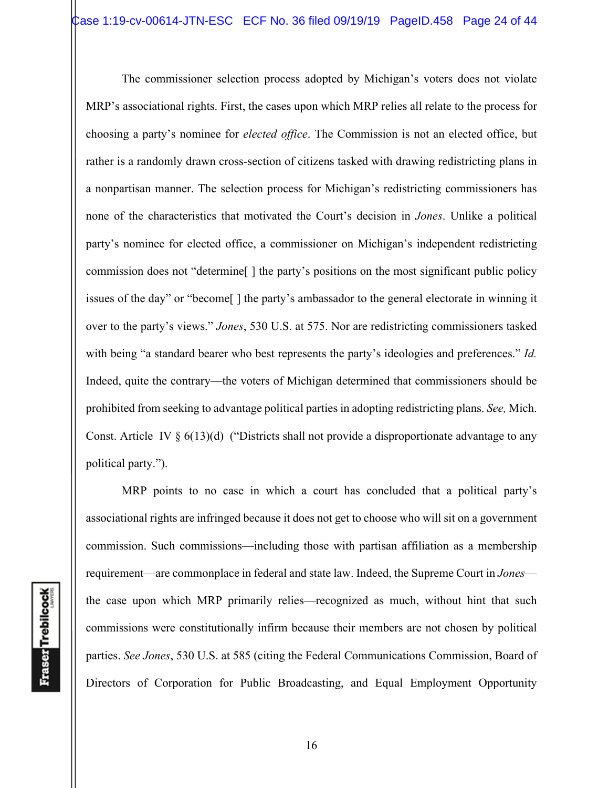The commissioner selection process adopted by Michigan's voters does not violate MRP's associational rights. First, the cases upon which MRP relies all relate to the process for choosing a party's nominee for *elected office*. The Commission is not an elected office, but rather is a randomly drawn cross-section of citizens tasked with drawing redistricting plans in a nonpartisan manner. The selection process for Michigan's redistricting commissioners has none of the characteristics that motivated the Court's decision in *Jones*. Unlike a political party's nominee for elected office, a commissioner on Michigan's independent redistricting commission does not "determine[ ] the party's positions on the most significant public policy issues of the day" or "become[ ] the party's ambassador to the general electorate in winning it over to the party's views." *Jones*, 530 U.S. at 575. Nor are redistricting commissioners tasked with being "a standard bearer who best represents the party's ideologies and preferences." *Id.* Indeed, quite the contrary—the voters of Michigan determined that commissioners should be prohibited from seeking to advantage political parties in adopting redistricting plans. *See,* Mich. Const. Article IV  $\S 6(13)(d)$  ("Districts shall not provide a disproportionate advantage to any political party.").

MRP points to no case in which a court has concluded that a political party's associational rights are infringed because it does not get to choose who will sit on a government commission. Such commissions—including those with partisan affiliation as a membership requirement—are commonplace in federal and state law. Indeed, the Supreme Court in *Jones* the case upon which MRP primarily relies—recognized as much, without hint that such commissions were constitutionally infirm because their members are not chosen by political parties. *See Jones*, 530 U.S. at 585 (citing the Federal Communications Commission, Board of Directors of Corporation for Public Broadcasting, and Equal Employment Opportunity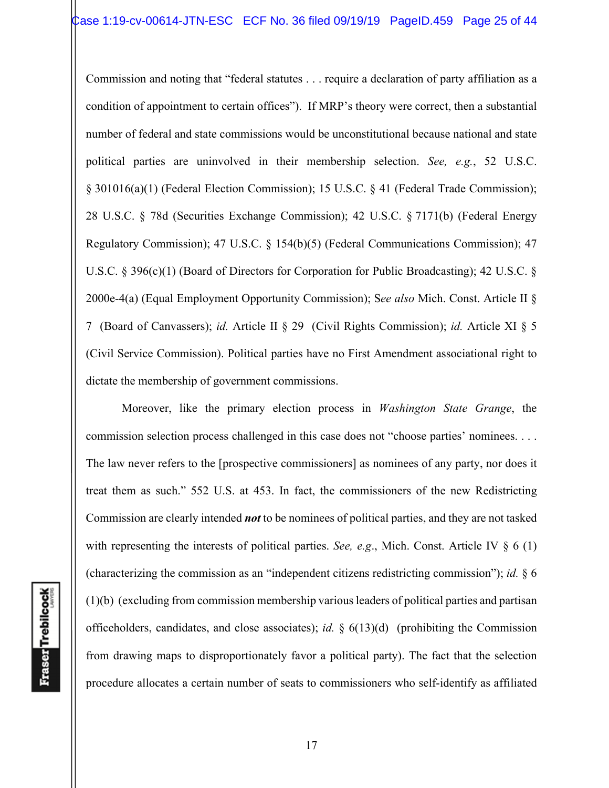Commission and noting that "federal statutes . . . require a declaration of party affiliation as a condition of appointment to certain offices"). If MRP's theory were correct, then a substantial number of federal and state commissions would be unconstitutional because national and state political parties are uninvolved in their membership selection. *See, e.g.*, 52 U.S.C. § 301016(a)(1) (Federal Election Commission); 15 U.S.C. § 41 (Federal Trade Commission); 28 U.S.C. § 78d (Securities Exchange Commission); 42 U.S.C. § 7171(b) (Federal Energy Regulatory Commission); 47 U.S.C. § 154(b)(5) (Federal Communications Commission); 47 U.S.C. § 396(c)(1) (Board of Directors for Corporation for Public Broadcasting); 42 U.S.C. § 2000e-4(a) (Equal Employment Opportunity Commission); S*ee also* Mich. Const. Article II § 7 (Board of Canvassers); *id.* Article II § 29 (Civil Rights Commission); *id.* Article XI § 5 (Civil Service Commission). Political parties have no First Amendment associational right to dictate the membership of government commissions.

Moreover, like the primary election process in *Washington State Grange*, the commission selection process challenged in this case does not "choose parties' nominees. . . . The law never refers to the [prospective commissioners] as nominees of any party, nor does it treat them as such." 552 U.S. at 453. In fact, the commissioners of the new Redistricting Commission are clearly intended *not* to be nominees of political parties, and they are not tasked with representing the interests of political parties. *See, e.g.*, Mich. Const. Article IV § 6 (1) (characterizing the commission as an "independent citizens redistricting commission"); *id.* § 6 (1)(b) (excluding from commission membership various leaders of political parties and partisan officeholders, candidates, and close associates); *id.* § 6(13)(d) (prohibiting the Commission from drawing maps to disproportionately favor a political party). The fact that the selection procedure allocates a certain number of seats to commissioners who self-identify as affiliated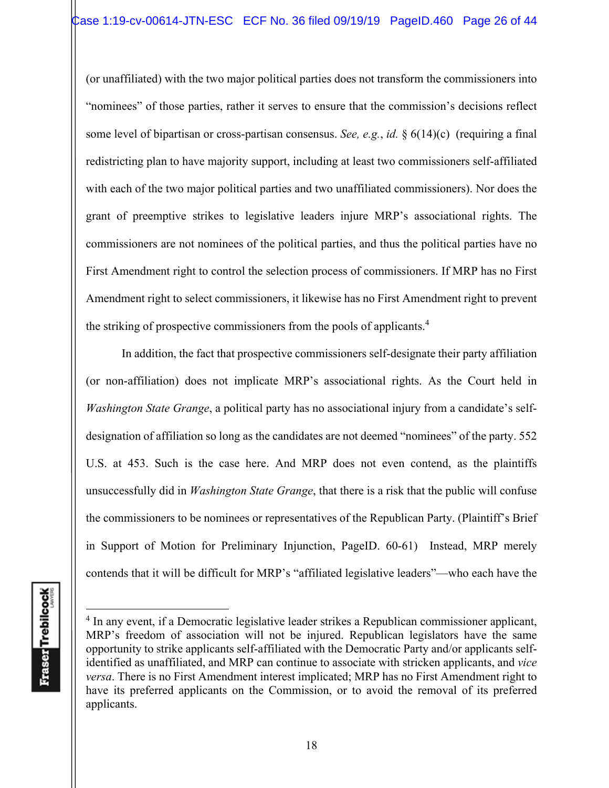(or unaffiliated) with the two major political parties does not transform the commissioners into "nominees" of those parties, rather it serves to ensure that the commission's decisions reflect some level of bipartisan or cross-partisan consensus. *See, e.g.*, *id.* § 6(14)(c) (requiring a final redistricting plan to have majority support, including at least two commissioners self-affiliated with each of the two major political parties and two unaffiliated commissioners). Nor does the grant of preemptive strikes to legislative leaders injure MRP's associational rights. The commissioners are not nominees of the political parties, and thus the political parties have no First Amendment right to control the selection process of commissioners. If MRP has no First Amendment right to select commissioners, it likewise has no First Amendment right to prevent the striking of prospective commissioners from the pools of applicants.4

In addition, the fact that prospective commissioners self-designate their party affiliation (or non-affiliation) does not implicate MRP's associational rights. As the Court held in *Washington State Grange*, a political party has no associational injury from a candidate's selfdesignation of affiliation so long as the candidates are not deemed "nominees" of the party. 552 U.S. at 453. Such is the case here. And MRP does not even contend, as the plaintiffs unsuccessfully did in *Washington State Grange*, that there is a risk that the public will confuse the commissioners to be nominees or representatives of the Republican Party. (Plaintiff's Brief in Support of Motion for Preliminary Injunction, PageID. 60-61) Instead, MRP merely contends that it will be difficult for MRP's "affiliated legislative leaders"—who each have the

<sup>&</sup>lt;sup>4</sup> In any event, if a Democratic legislative leader strikes a Republican commissioner applicant, MRP's freedom of association will not be injured. Republican legislators have the same opportunity to strike applicants self-affiliated with the Democratic Party and/or applicants selfidentified as unaffiliated, and MRP can continue to associate with stricken applicants, and *vice versa*. There is no First Amendment interest implicated; MRP has no First Amendment right to have its preferred applicants on the Commission, or to avoid the removal of its preferred applicants.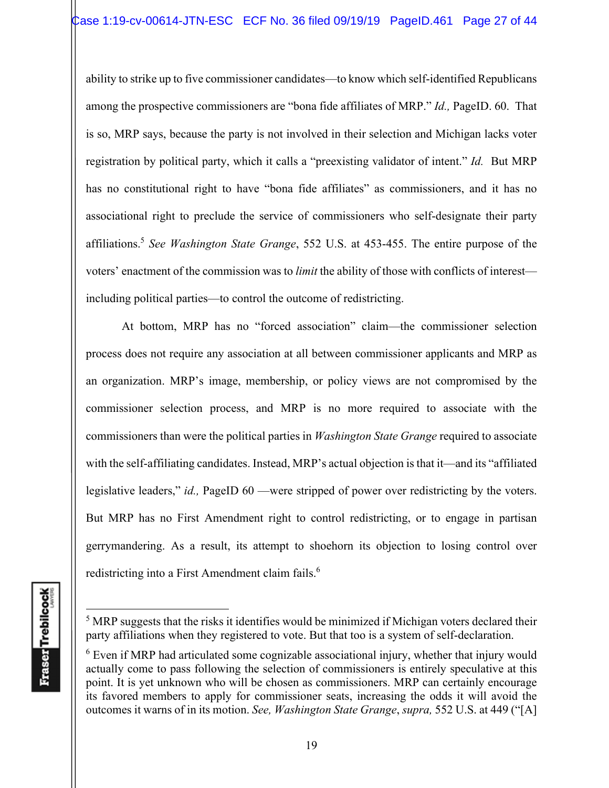ability to strike up to five commissioner candidates—to know which self-identified Republicans among the prospective commissioners are "bona fide affiliates of MRP." *Id.,* PageID. 60. That is so, MRP says, because the party is not involved in their selection and Michigan lacks voter registration by political party, which it calls a "preexisting validator of intent." *Id.* But MRP has no constitutional right to have "bona fide affiliates" as commissioners, and it has no associational right to preclude the service of commissioners who self-designate their party affiliations.5 *See Washington State Grange*, 552 U.S. at 453-455. The entire purpose of the voters' enactment of the commission was to *limit* the ability of those with conflicts of interest including political parties—to control the outcome of redistricting.

At bottom, MRP has no "forced association" claim—the commissioner selection process does not require any association at all between commissioner applicants and MRP as an organization. MRP's image, membership, or policy views are not compromised by the commissioner selection process, and MRP is no more required to associate with the commissioners than were the political parties in *Washington State Grange* required to associate with the self-affiliating candidates. Instead, MRP's actual objection is that it—and its "affiliated legislative leaders," *id.,* PageID 60 —were stripped of power over redistricting by the voters. But MRP has no First Amendment right to control redistricting, or to engage in partisan gerrymandering. As a result, its attempt to shoehorn its objection to losing control over redistricting into a First Amendment claim fails.<sup>6</sup>

<sup>&</sup>lt;sup>5</sup> MRP suggests that the risks it identifies would be minimized if Michigan voters declared their party affiliations when they registered to vote. But that too is a system of self-declaration.

 $6$  Even if MRP had articulated some cognizable associational injury, whether that injury would actually come to pass following the selection of commissioners is entirely speculative at this point. It is yet unknown who will be chosen as commissioners. MRP can certainly encourage its favored members to apply for commissioner seats, increasing the odds it will avoid the outcomes it warns of in its motion. *See, Washington State Grange*, *supra,* 552 U.S. at 449 ("[A]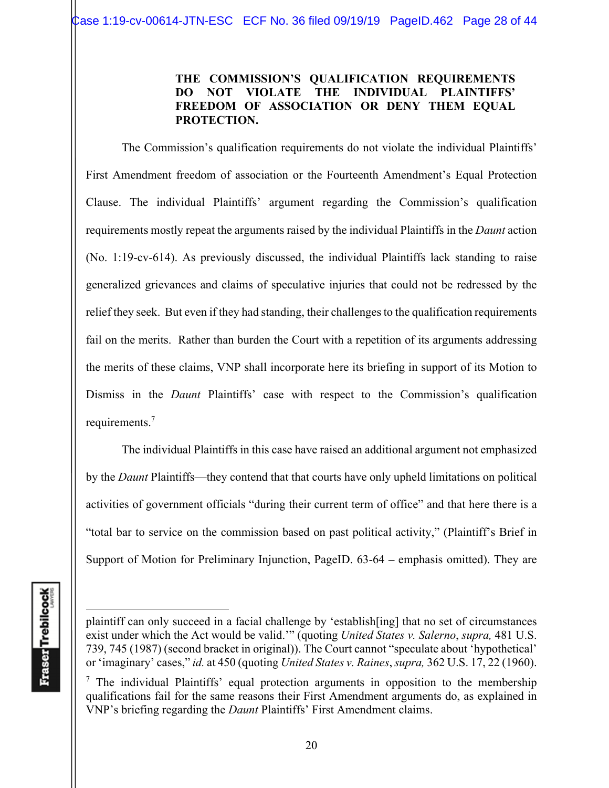## **THE COMMISSION'S QUALIFICATION REQUIREMENTS DO NOT VIOLATE THE INDIVIDUAL PLAINTIFFS' FREEDOM OF ASSOCIATION OR DENY THEM EQUAL PROTECTION.**

The Commission's qualification requirements do not violate the individual Plaintiffs' First Amendment freedom of association or the Fourteenth Amendment's Equal Protection Clause. The individual Plaintiffs' argument regarding the Commission's qualification requirements mostly repeat the arguments raised by the individual Plaintiffs in the *Daunt* action (No. 1:19-cv-614). As previously discussed, the individual Plaintiffs lack standing to raise generalized grievances and claims of speculative injuries that could not be redressed by the relief they seek. But even if they had standing, their challenges to the qualification requirements fail on the merits. Rather than burden the Court with a repetition of its arguments addressing the merits of these claims, VNP shall incorporate here its briefing in support of its Motion to Dismiss in the *Daunt* Plaintiffs' case with respect to the Commission's qualification requirements.<sup>7</sup>

The individual Plaintiffs in this case have raised an additional argument not emphasized by the *Daunt* Plaintiffs—they contend that that courts have only upheld limitations on political activities of government officials "during their current term of office" and that here there is a "total bar to service on the commission based on past political activity," (Plaintiff's Brief in Support of Motion for Preliminary Injunction, PageID. 63-64 **–** emphasis omitted). They are

plaintiff can only succeed in a facial challenge by 'establish[ing] that no set of circumstances exist under which the Act would be valid.'" (quoting *United States v. Salerno*, *supra,* 481 U.S. 739, 745 (1987) (second bracket in original)). The Court cannot "speculate about 'hypothetical' or 'imaginary' cases," *id.* at 450 (quoting *United States v. Raines*, *supra,* 362 U.S. 17, 22 (1960).

 $<sup>7</sup>$  The individual Plaintiffs' equal protection arguments in opposition to the membership</sup> qualifications fail for the same reasons their First Amendment arguments do, as explained in VNP's briefing regarding the *Daunt* Plaintiffs' First Amendment claims.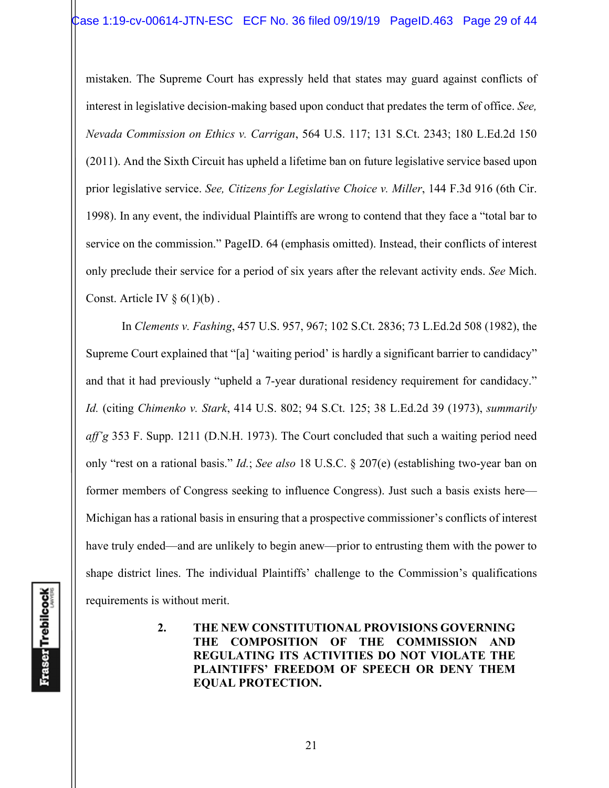mistaken. The Supreme Court has expressly held that states may guard against conflicts of interest in legislative decision-making based upon conduct that predates the term of office. *See, Nevada Commission on Ethics v. Carrigan*, 564 U.S. 117; 131 S.Ct. 2343; 180 L.Ed.2d 150 (2011). And the Sixth Circuit has upheld a lifetime ban on future legislative service based upon prior legislative service. *See, Citizens for Legislative Choice v. Miller*, 144 F.3d 916 (6th Cir. 1998). In any event, the individual Plaintiffs are wrong to contend that they face a "total bar to service on the commission." PageID. 64 (emphasis omitted). Instead, their conflicts of interest only preclude their service for a period of six years after the relevant activity ends. *See* Mich. Const. Article IV  $\S 6(1)(b)$ .

In *Clements v. Fashing*, 457 U.S. 957, 967; 102 S.Ct. 2836; 73 L.Ed.2d 508 (1982), the Supreme Court explained that "[a] 'waiting period' is hardly a significant barrier to candidacy" and that it had previously "upheld a 7-year durational residency requirement for candidacy." *Id.* (citing *Chimenko v. Stark*, 414 U.S. 802; 94 S.Ct. 125; 38 L.Ed.2d 39 (1973), *summarily aff'g* 353 F. Supp. 1211 (D.N.H. 1973). The Court concluded that such a waiting period need only "rest on a rational basis." *Id.*; *See also* 18 U.S.C. § 207(e) (establishing two-year ban on former members of Congress seeking to influence Congress). Just such a basis exists here— Michigan has a rational basis in ensuring that a prospective commissioner's conflicts of interest have truly ended—and are unlikely to begin anew—prior to entrusting them with the power to shape district lines. The individual Plaintiffs' challenge to the Commission's qualifications requirements is without merit.

> **2. THE NEW CONSTITUTIONAL PROVISIONS GOVERNING THE COMPOSITION OF THE COMMISSION AND REGULATING ITS ACTIVITIES DO NOT VIOLATE THE PLAINTIFFS' FREEDOM OF SPEECH OR DENY THEM EQUAL PROTECTION.**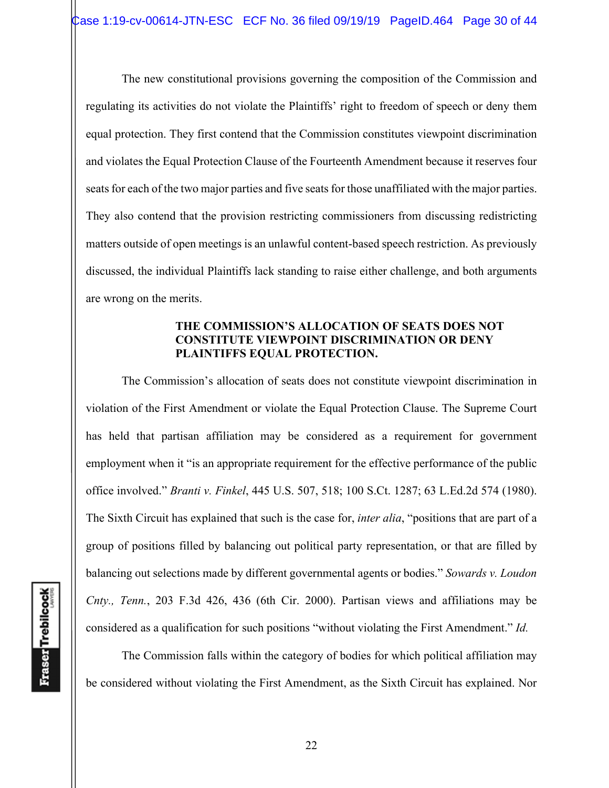The new constitutional provisions governing the composition of the Commission and regulating its activities do not violate the Plaintiffs' right to freedom of speech or deny them equal protection. They first contend that the Commission constitutes viewpoint discrimination and violates the Equal Protection Clause of the Fourteenth Amendment because it reserves four seats for each of the two major parties and five seats for those unaffiliated with the major parties. They also contend that the provision restricting commissioners from discussing redistricting matters outside of open meetings is an unlawful content-based speech restriction. As previously discussed, the individual Plaintiffs lack standing to raise either challenge, and both arguments are wrong on the merits.

#### **THE COMMISSION'S ALLOCATION OF SEATS DOES NOT CONSTITUTE VIEWPOINT DISCRIMINATION OR DENY PLAINTIFFS EQUAL PROTECTION.**

 The Commission's allocation of seats does not constitute viewpoint discrimination in violation of the First Amendment or violate the Equal Protection Clause. The Supreme Court has held that partisan affiliation may be considered as a requirement for government employment when it "is an appropriate requirement for the effective performance of the public office involved." *Branti v. Finkel*, 445 U.S. 507, 518; 100 S.Ct. 1287; 63 L.Ed.2d 574 (1980). The Sixth Circuit has explained that such is the case for, *inter alia*, "positions that are part of a group of positions filled by balancing out political party representation, or that are filled by balancing out selections made by different governmental agents or bodies." *Sowards v. Loudon Cnty., Tenn.*, 203 F.3d 426, 436 (6th Cir. 2000). Partisan views and affiliations may be considered as a qualification for such positions "without violating the First Amendment." *Id.*

 The Commission falls within the category of bodies for which political affiliation may be considered without violating the First Amendment, as the Sixth Circuit has explained. Nor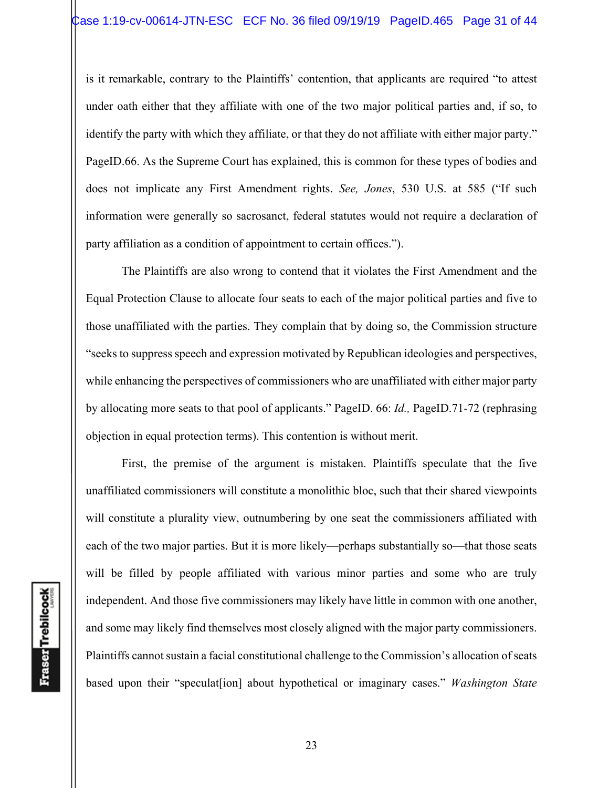is it remarkable, contrary to the Plaintiffs' contention, that applicants are required "to attest under oath either that they affiliate with one of the two major political parties and, if so, to identify the party with which they affiliate, or that they do not affiliate with either major party." PageID.66. As the Supreme Court has explained, this is common for these types of bodies and does not implicate any First Amendment rights. *See, Jones*, 530 U.S. at 585 ("If such information were generally so sacrosanct, federal statutes would not require a declaration of party affiliation as a condition of appointment to certain offices.").

 The Plaintiffs are also wrong to contend that it violates the First Amendment and the Equal Protection Clause to allocate four seats to each of the major political parties and five to those unaffiliated with the parties. They complain that by doing so, the Commission structure "seeks to suppress speech and expression motivated by Republican ideologies and perspectives, while enhancing the perspectives of commissioners who are unaffiliated with either major party by allocating more seats to that pool of applicants." PageID. 66: *Id.,* PageID.71-72 (rephrasing objection in equal protection terms). This contention is without merit.

 First, the premise of the argument is mistaken. Plaintiffs speculate that the five unaffiliated commissioners will constitute a monolithic bloc, such that their shared viewpoints will constitute a plurality view, outnumbering by one seat the commissioners affiliated with each of the two major parties. But it is more likely—perhaps substantially so—that those seats will be filled by people affiliated with various minor parties and some who are truly independent. And those five commissioners may likely have little in common with one another, and some may likely find themselves most closely aligned with the major party commissioners. Plaintiffs cannot sustain a facial constitutional challenge to the Commission's allocation of seats based upon their "speculat[ion] about hypothetical or imaginary cases." *Washington State*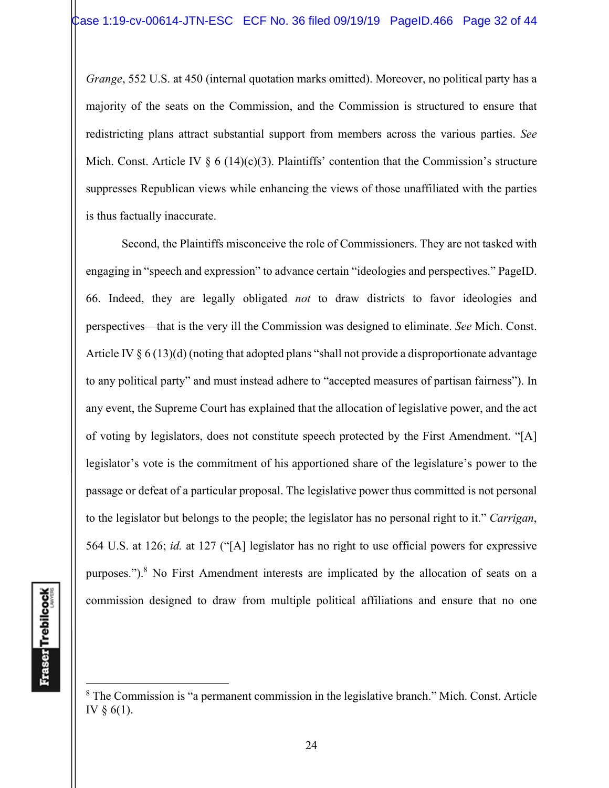*Grange*, 552 U.S. at 450 (internal quotation marks omitted). Moreover, no political party has a majority of the seats on the Commission, and the Commission is structured to ensure that redistricting plans attract substantial support from members across the various parties. *See*  Mich. Const. Article IV  $\S 6$  (14)(c)(3). Plaintiffs' contention that the Commission's structure suppresses Republican views while enhancing the views of those unaffiliated with the parties is thus factually inaccurate.

 Second, the Plaintiffs misconceive the role of Commissioners. They are not tasked with engaging in "speech and expression" to advance certain "ideologies and perspectives." PageID. 66. Indeed, they are legally obligated *not* to draw districts to favor ideologies and perspectives—that is the very ill the Commission was designed to eliminate. *See* Mich. Const. Article IV § 6 (13)(d) (noting that adopted plans "shall not provide a disproportionate advantage to any political party" and must instead adhere to "accepted measures of partisan fairness"). In any event, the Supreme Court has explained that the allocation of legislative power, and the act of voting by legislators, does not constitute speech protected by the First Amendment. "[A] legislator's vote is the commitment of his apportioned share of the legislature's power to the passage or defeat of a particular proposal. The legislative power thus committed is not personal to the legislator but belongs to the people; the legislator has no personal right to it." *Carrigan*, 564 U.S. at 126; *id.* at 127 ("[A] legislator has no right to use official powers for expressive purposes.").<sup>8</sup> No First Amendment interests are implicated by the allocation of seats on a commission designed to draw from multiple political affiliations and ensure that no one

 $8$  The Commission is "a permanent commission in the legislative branch." Mich. Const. Article IV § 6(1).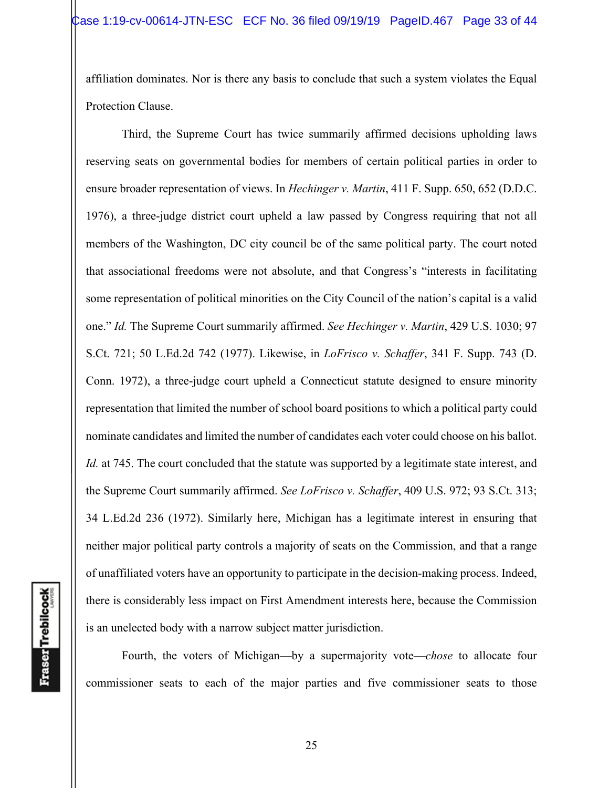affiliation dominates. Nor is there any basis to conclude that such a system violates the Equal Protection Clause.

 Third, the Supreme Court has twice summarily affirmed decisions upholding laws reserving seats on governmental bodies for members of certain political parties in order to ensure broader representation of views. In *Hechinger v. Martin*, 411 F. Supp. 650, 652 (D.D.C. 1976), a three-judge district court upheld a law passed by Congress requiring that not all members of the Washington, DC city council be of the same political party. The court noted that associational freedoms were not absolute, and that Congress's "interests in facilitating some representation of political minorities on the City Council of the nation's capital is a valid one." *Id.* The Supreme Court summarily affirmed. *See Hechinger v. Martin*, 429 U.S. 1030; 97 S.Ct. 721; 50 L.Ed.2d 742 (1977). Likewise, in *LoFrisco v. Schaffer*, 341 F. Supp. 743 (D. Conn. 1972), a three-judge court upheld a Connecticut statute designed to ensure minority representation that limited the number of school board positions to which a political party could nominate candidates and limited the number of candidates each voter could choose on his ballot. *Id.* at 745. The court concluded that the statute was supported by a legitimate state interest, and the Supreme Court summarily affirmed. *See LoFrisco v. Schaffer*, 409 U.S. 972; 93 S.Ct. 313; 34 L.Ed.2d 236 (1972). Similarly here, Michigan has a legitimate interest in ensuring that neither major political party controls a majority of seats on the Commission, and that a range of unaffiliated voters have an opportunity to participate in the decision-making process. Indeed, there is considerably less impact on First Amendment interests here, because the Commission is an unelected body with a narrow subject matter jurisdiction.

Fourth, the voters of Michigan—by a supermajority vote—*chose* to allocate four commissioner seats to each of the major parties and five commissioner seats to those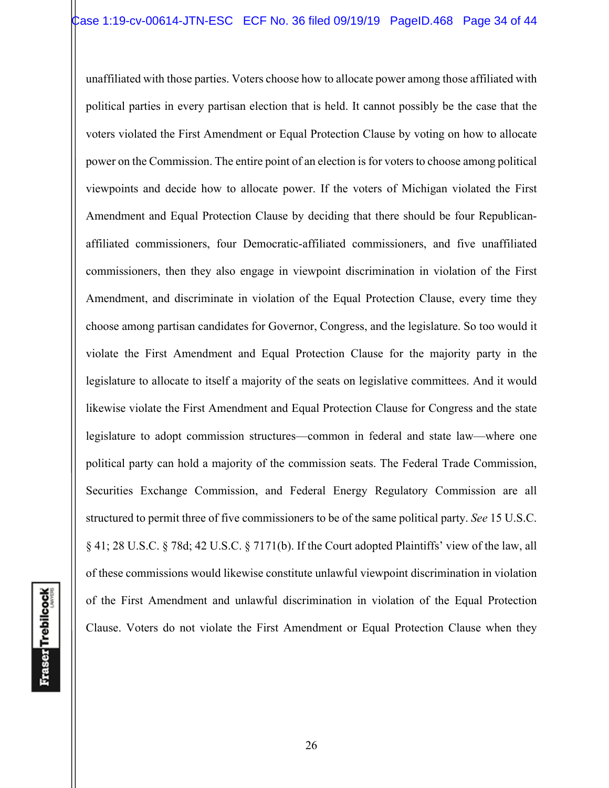unaffiliated with those parties. Voters choose how to allocate power among those affiliated with political parties in every partisan election that is held. It cannot possibly be the case that the voters violated the First Amendment or Equal Protection Clause by voting on how to allocate power on the Commission. The entire point of an election is for voters to choose among political viewpoints and decide how to allocate power. If the voters of Michigan violated the First Amendment and Equal Protection Clause by deciding that there should be four Republicanaffiliated commissioners, four Democratic-affiliated commissioners, and five unaffiliated commissioners, then they also engage in viewpoint discrimination in violation of the First Amendment, and discriminate in violation of the Equal Protection Clause, every time they choose among partisan candidates for Governor, Congress, and the legislature. So too would it violate the First Amendment and Equal Protection Clause for the majority party in the legislature to allocate to itself a majority of the seats on legislative committees. And it would likewise violate the First Amendment and Equal Protection Clause for Congress and the state legislature to adopt commission structures—common in federal and state law—where one political party can hold a majority of the commission seats. The Federal Trade Commission, Securities Exchange Commission, and Federal Energy Regulatory Commission are all structured to permit three of five commissioners to be of the same political party. *See* 15 U.S.C. § 41; 28 U.S.C. § 78d; 42 U.S.C. § 7171(b). If the Court adopted Plaintiffs' view of the law, all of these commissions would likewise constitute unlawful viewpoint discrimination in violation of the First Amendment and unlawful discrimination in violation of the Equal Protection Clause. Voters do not violate the First Amendment or Equal Protection Clause when they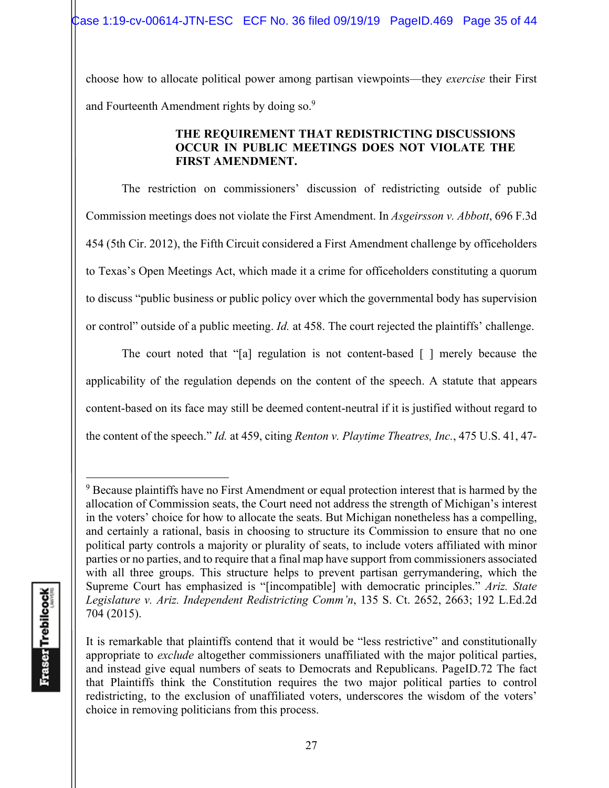choose how to allocate political power among partisan viewpoints—they *exercise* their First and Fourteenth Amendment rights by doing so.<sup>9</sup>

### **THE REQUIREMENT THAT REDISTRICTING DISCUSSIONS OCCUR IN PUBLIC MEETINGS DOES NOT VIOLATE THE FIRST AMENDMENT.**

 The restriction on commissioners' discussion of redistricting outside of public Commission meetings does not violate the First Amendment. In *Asgeirsson v. Abbott*, 696 F.3d 454 (5th Cir. 2012), the Fifth Circuit considered a First Amendment challenge by officeholders to Texas's Open Meetings Act, which made it a crime for officeholders constituting a quorum to discuss "public business or public policy over which the governmental body has supervision or control" outside of a public meeting. *Id.* at 458. The court rejected the plaintiffs' challenge.

The court noted that "[a] regulation is not content-based [ ] merely because the applicability of the regulation depends on the content of the speech. A statute that appears content-based on its face may still be deemed content-neutral if it is justified without regard to the content of the speech." *Id.* at 459, citing *Renton v. Playtime Theatres, Inc.*, 475 U.S. 41, 47-

 $9$  Because plaintiffs have no First Amendment or equal protection interest that is harmed by the allocation of Commission seats, the Court need not address the strength of Michigan's interest in the voters' choice for how to allocate the seats. But Michigan nonetheless has a compelling, and certainly a rational, basis in choosing to structure its Commission to ensure that no one political party controls a majority or plurality of seats, to include voters affiliated with minor parties or no parties, and to require that a final map have support from commissioners associated with all three groups. This structure helps to prevent partisan gerrymandering, which the Supreme Court has emphasized is "[incompatible] with democratic principles." *Ariz. State Legislature v. Ariz. Independent Redistricting Comm'n*, 135 S. Ct. 2652, 2663; 192 L.Ed.2d 704 (2015).

It is remarkable that plaintiffs contend that it would be "less restrictive" and constitutionally appropriate to *exclude* altogether commissioners unaffiliated with the major political parties, and instead give equal numbers of seats to Democrats and Republicans. PageID.72 The fact that Plaintiffs think the Constitution requires the two major political parties to control redistricting, to the exclusion of unaffiliated voters, underscores the wisdom of the voters' choice in removing politicians from this process.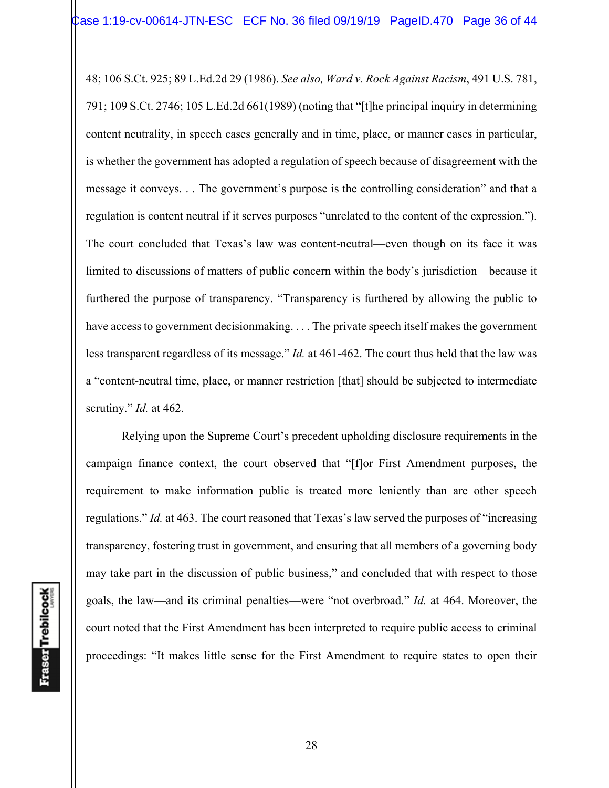48; 106 S.Ct. 925; 89 L.Ed.2d 29 (1986). *See also, Ward v. Rock Against Racism*, 491 U.S. 781, 791; 109 S.Ct. 2746; 105 L.Ed.2d 661(1989) (noting that "[t]he principal inquiry in determining content neutrality, in speech cases generally and in time, place, or manner cases in particular, is whether the government has adopted a regulation of speech because of disagreement with the message it conveys. . . The government's purpose is the controlling consideration" and that a regulation is content neutral if it serves purposes "unrelated to the content of the expression."). The court concluded that Texas's law was content-neutral—even though on its face it was limited to discussions of matters of public concern within the body's jurisdiction—because it furthered the purpose of transparency. "Transparency is furthered by allowing the public to have access to government decisionmaking. . . . The private speech itself makes the government less transparent regardless of its message." *Id.* at 461-462. The court thus held that the law was a "content-neutral time, place, or manner restriction [that] should be subjected to intermediate scrutiny." *Id.* at 462.

Relying upon the Supreme Court's precedent upholding disclosure requirements in the campaign finance context, the court observed that "[f]or First Amendment purposes, the requirement to make information public is treated more leniently than are other speech regulations." *Id.* at 463. The court reasoned that Texas's law served the purposes of "increasing transparency, fostering trust in government, and ensuring that all members of a governing body may take part in the discussion of public business," and concluded that with respect to those goals, the law—and its criminal penalties—were "not overbroad." *Id.* at 464. Moreover, the court noted that the First Amendment has been interpreted to require public access to criminal proceedings: "It makes little sense for the First Amendment to require states to open their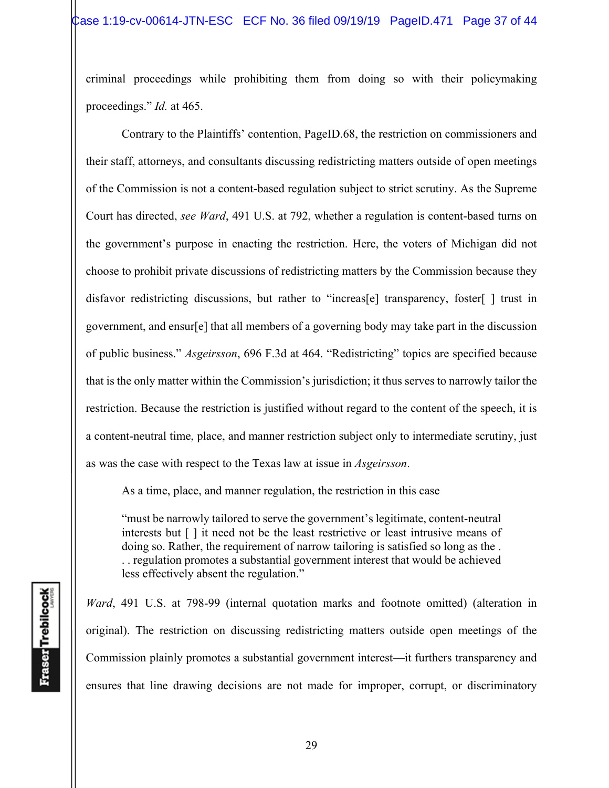criminal proceedings while prohibiting them from doing so with their policymaking proceedings." *Id.* at 465.

Contrary to the Plaintiffs' contention, PageID.68, the restriction on commissioners and their staff, attorneys, and consultants discussing redistricting matters outside of open meetings of the Commission is not a content-based regulation subject to strict scrutiny. As the Supreme Court has directed, *see Ward*, 491 U.S. at 792, whether a regulation is content-based turns on the government's purpose in enacting the restriction. Here, the voters of Michigan did not choose to prohibit private discussions of redistricting matters by the Commission because they disfavor redistricting discussions, but rather to "increas[e] transparency, foster[ ] trust in government, and ensur[e] that all members of a governing body may take part in the discussion of public business." *Asgeirsson*, 696 F.3d at 464. "Redistricting" topics are specified because that is the only matter within the Commission's jurisdiction; it thus serves to narrowly tailor the restriction. Because the restriction is justified without regard to the content of the speech, it is a content-neutral time, place, and manner restriction subject only to intermediate scrutiny, just as was the case with respect to the Texas law at issue in *Asgeirsson*.

As a time, place, and manner regulation, the restriction in this case

"must be narrowly tailored to serve the government's legitimate, content-neutral interests but [ ] it need not be the least restrictive or least intrusive means of doing so. Rather, the requirement of narrow tailoring is satisfied so long as the . . . regulation promotes a substantial government interest that would be achieved less effectively absent the regulation."

*Ward*, 491 U.S. at 798-99 (internal quotation marks and footnote omitted) (alteration in original). The restriction on discussing redistricting matters outside open meetings of the Commission plainly promotes a substantial government interest—it furthers transparency and ensures that line drawing decisions are not made for improper, corrupt, or discriminatory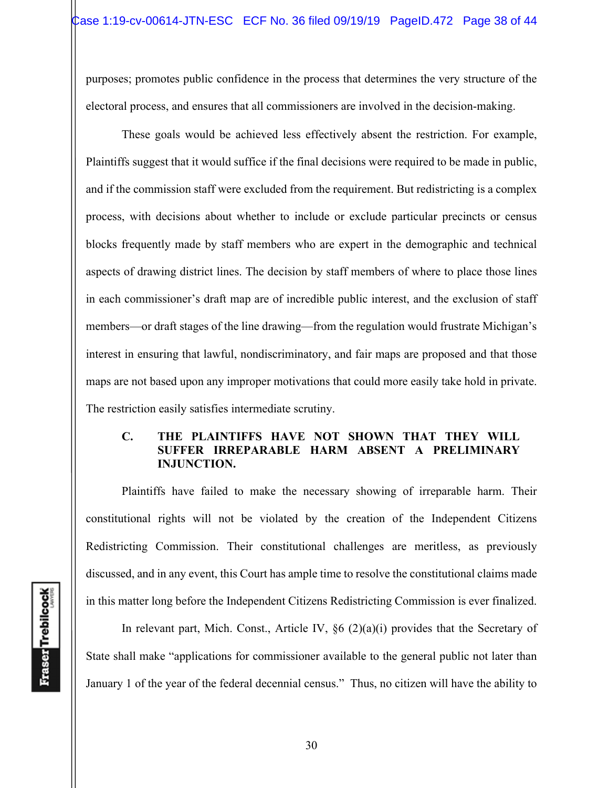purposes; promotes public confidence in the process that determines the very structure of the electoral process, and ensures that all commissioners are involved in the decision-making.

These goals would be achieved less effectively absent the restriction. For example, Plaintiffs suggest that it would suffice if the final decisions were required to be made in public, and if the commission staff were excluded from the requirement. But redistricting is a complex process, with decisions about whether to include or exclude particular precincts or census blocks frequently made by staff members who are expert in the demographic and technical aspects of drawing district lines. The decision by staff members of where to place those lines in each commissioner's draft map are of incredible public interest, and the exclusion of staff members—or draft stages of the line drawing—from the regulation would frustrate Michigan's interest in ensuring that lawful, nondiscriminatory, and fair maps are proposed and that those maps are not based upon any improper motivations that could more easily take hold in private. The restriction easily satisfies intermediate scrutiny.

### **C. THE PLAINTIFFS HAVE NOT SHOWN THAT THEY WILL SUFFER IRREPARABLE HARM ABSENT A PRELIMINARY INJUNCTION.**

Plaintiffs have failed to make the necessary showing of irreparable harm. Their constitutional rights will not be violated by the creation of the Independent Citizens Redistricting Commission. Their constitutional challenges are meritless, as previously discussed, and in any event, this Court has ample time to resolve the constitutional claims made in this matter long before the Independent Citizens Redistricting Commission is ever finalized.

In relevant part, Mich. Const., Article IV,  $\S6$  (2)(a)(i) provides that the Secretary of State shall make "applications for commissioner available to the general public not later than January 1 of the year of the federal decennial census." Thus, no citizen will have the ability to

**Fraser** Trebilcock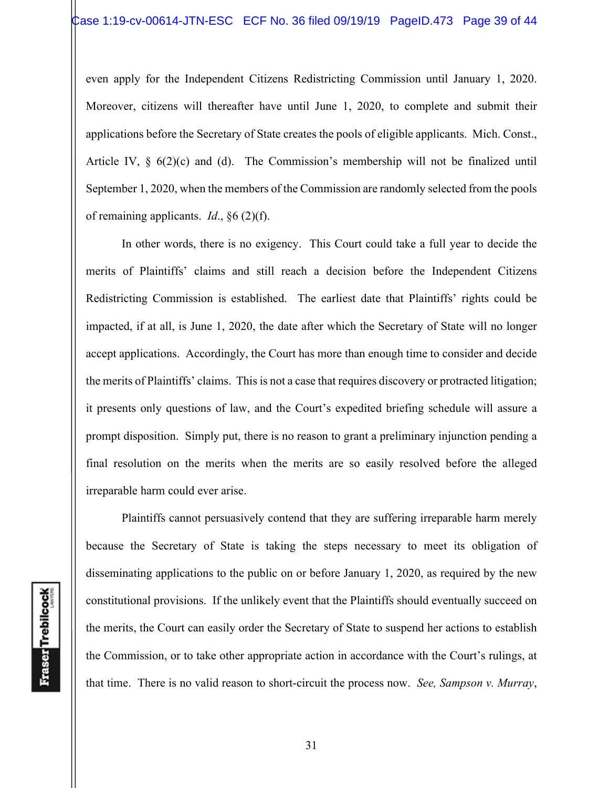even apply for the Independent Citizens Redistricting Commission until January 1, 2020. Moreover, citizens will thereafter have until June 1, 2020, to complete and submit their applications before the Secretary of State creates the pools of eligible applicants. Mich. Const., Article IV, § 6(2)(c) and (d). The Commission's membership will not be finalized until September 1, 2020, when the members of the Commission are randomly selected from the pools of remaining applicants. *Id*., §6 (2)(f).

 In other words, there is no exigency. This Court could take a full year to decide the merits of Plaintiffs' claims and still reach a decision before the Independent Citizens Redistricting Commission is established. The earliest date that Plaintiffs' rights could be impacted, if at all, is June 1, 2020, the date after which the Secretary of State will no longer accept applications. Accordingly, the Court has more than enough time to consider and decide the merits of Plaintiffs' claims. This is not a case that requires discovery or protracted litigation; it presents only questions of law, and the Court's expedited briefing schedule will assure a prompt disposition. Simply put, there is no reason to grant a preliminary injunction pending a final resolution on the merits when the merits are so easily resolved before the alleged irreparable harm could ever arise.

Plaintiffs cannot persuasively contend that they are suffering irreparable harm merely because the Secretary of State is taking the steps necessary to meet its obligation of disseminating applications to the public on or before January 1, 2020, as required by the new constitutional provisions. If the unlikely event that the Plaintiffs should eventually succeed on the merits, the Court can easily order the Secretary of State to suspend her actions to establish the Commission, or to take other appropriate action in accordance with the Court's rulings, at that time. There is no valid reason to short-circuit the process now. *See, Sampson v. Murray*,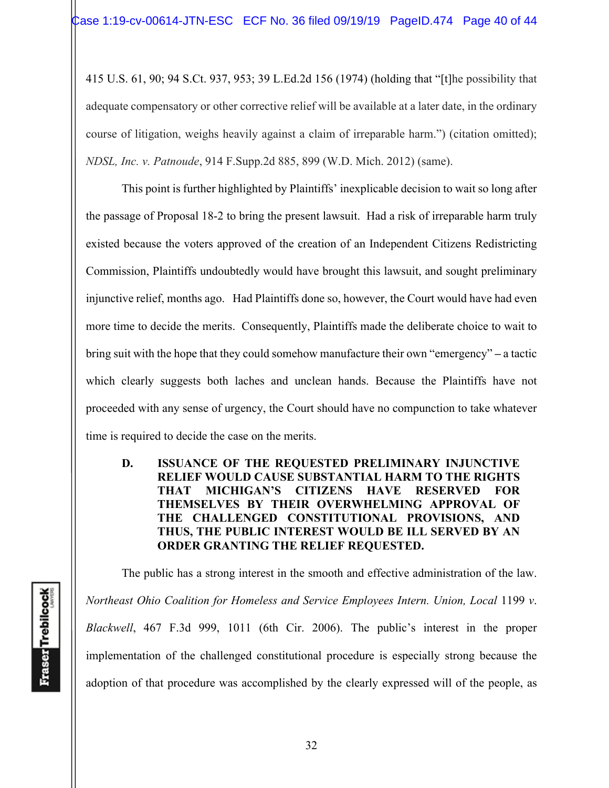415 U.S. 61, 90; 94 S.Ct. 937, 953; 39 L.Ed.2d 156 (1974) (holding that "[t]he possibility that adequate compensatory or other corrective relief will be available at a later date, in the ordinary course of litigation, weighs heavily against a claim of irreparable harm.") (citation omitted); *NDSL, Inc. v. Patnoude*, 914 F.Supp.2d 885, 899 (W.D. Mich. 2012) (same).

 This point is further highlighted by Plaintiffs' inexplicable decision to wait so long after the passage of Proposal 18-2 to bring the present lawsuit. Had a risk of irreparable harm truly existed because the voters approved of the creation of an Independent Citizens Redistricting Commission, Plaintiffs undoubtedly would have brought this lawsuit, and sought preliminary injunctive relief, months ago. Had Plaintiffs done so, however, the Court would have had even more time to decide the merits. Consequently, Plaintiffs made the deliberate choice to wait to bring suit with the hope that they could somehow manufacture their own "emergency" **–** a tactic which clearly suggests both laches and unclean hands. Because the Plaintiffs have not proceeded with any sense of urgency, the Court should have no compunction to take whatever time is required to decide the case on the merits.

**D. ISSUANCE OF THE REQUESTED PRELIMINARY INJUNCTIVE RELIEF WOULD CAUSE SUBSTANTIAL HARM TO THE RIGHTS THAT MICHIGAN'S CITIZENS HAVE RESERVED FOR THEMSELVES BY THEIR OVERWHELMING APPROVAL OF THE CHALLENGED CONSTITUTIONAL PROVISIONS, AND THUS, THE PUBLIC INTEREST WOULD BE ILL SERVED BY AN ORDER GRANTING THE RELIEF REQUESTED.** 

The public has a strong interest in the smooth and effective administration of the law. *Northeast Ohio Coalition for Homeless and Service Employees Intern. Union, Local* 1199 *v*. *Blackwell*, 467 F.3d 999, 1011 (6th Cir. 2006). The public's interest in the proper implementation of the challenged constitutional procedure is especially strong because the adoption of that procedure was accomplished by the clearly expressed will of the people, as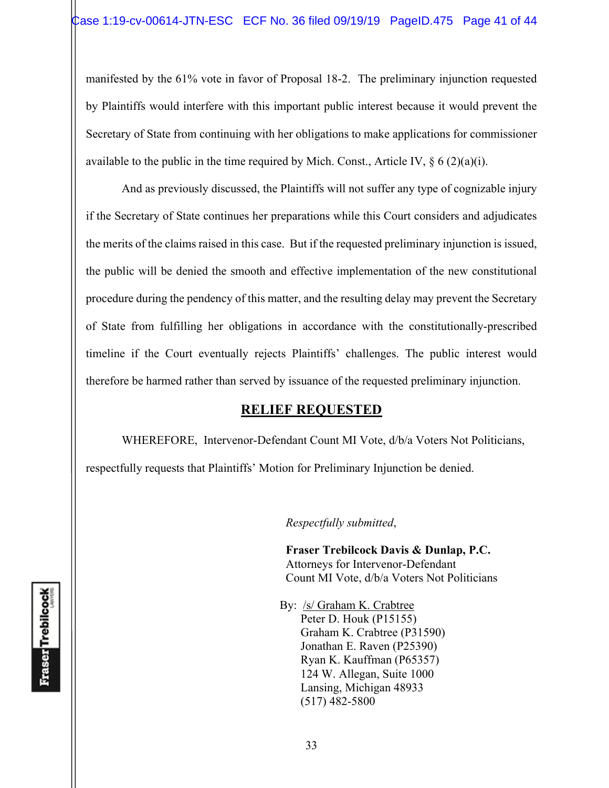manifested by the 61% vote in favor of Proposal 18-2. The preliminary injunction requested by Plaintiffs would interfere with this important public interest because it would prevent the Secretary of State from continuing with her obligations to make applications for commissioner available to the public in the time required by Mich. Const., Article IV,  $\S 6 (2)(a)(i)$ .

And as previously discussed, the Plaintiffs will not suffer any type of cognizable injury if the Secretary of State continues her preparations while this Court considers and adjudicates the merits of the claims raised in this case. But if the requested preliminary injunction is issued, the public will be denied the smooth and effective implementation of the new constitutional procedure during the pendency of this matter, and the resulting delay may prevent the Secretary of State from fulfilling her obligations in accordance with the constitutionally-prescribed timeline if the Court eventually rejects Plaintiffs' challenges. The public interest would therefore be harmed rather than served by issuance of the requested preliminary injunction.

## **RELIEF REQUESTED**

WHEREFORE, Intervenor-Defendant Count MI Vote, d/b/a Voters Not Politicians,

respectfully requests that Plaintiffs' Motion for Preliminary Injunction be denied.

*Respectfully submitted*,

 **Fraser Trebilcock Davis & Dunlap, P.C.**  Attorneys for Intervenor-Defendant Count MI Vote, d/b/a Voters Not Politicians

 By: /s/ Graham K. Crabtree Peter D. Houk (P15155) Graham K. Crabtree (P31590) Jonathan E. Raven (P25390) Ryan K. Kauffman (P65357) 124 W. Allegan, Suite 1000 Lansing, Michigan 48933 (517) 482-5800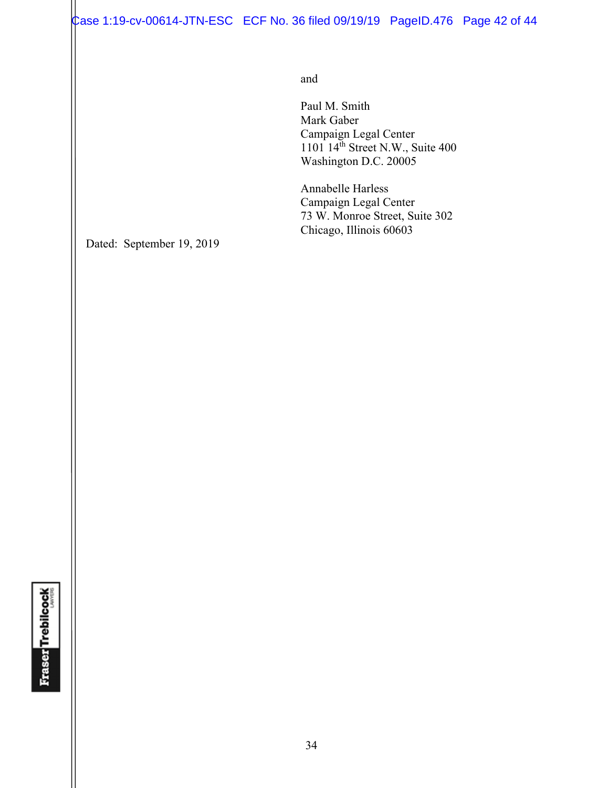Case 1:19-cv-00614-JTN-ESC ECF No. 36 filed 09/19/19 PageID.476 Page 42 of 44

and and state of the state of the state of the state of the state of the state of the state of the state of the state of the state of the state of the state of the state of the state of the state of the state of the state

 Paul M. Smith Mark Gaber Campaign Legal Center  $1101 \, 14<sup>th</sup>$  Street N.W., Suite 400 Washington D.C. 20005

> Annabelle Harless Campaign Legal Center 73 W. Monroe Street, Suite 302 Chicago, Illinois 60603

Dated: September 19, 2019

**Fraser Trebilcock**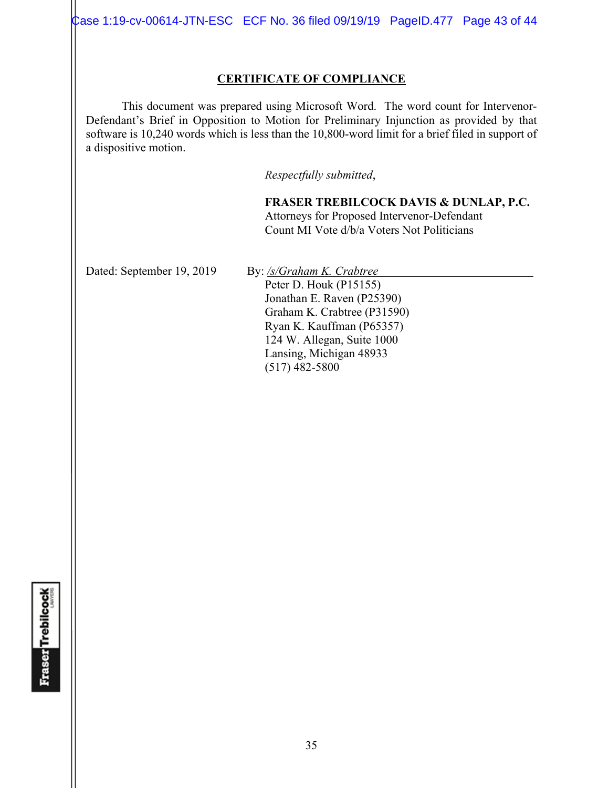Case 1:19-cv-00614-JTN-ESC ECF No. 36 filed 09/19/19 PageID.477 Page 43 of 44

#### **CERTIFICATE OF COMPLIANCE**

 This document was prepared using Microsoft Word. The word count for Intervenor-Defendant's Brief in Opposition to Motion for Preliminary Injunction as provided by that software is 10,240 words which is less than the 10,800-word limit for a brief filed in support of a dispositive motion.

*Respectfully submitted*,

**FRASER TREBILCOCK DAVIS & DUNLAP, P.C.** Attorneys for Proposed Intervenor-Defendant Count MI Vote d/b/a Voters Not Politicians

Dated: September 19, 2019 By: /s/Graham K. Crabtree

Peter D. Houk (P15155) Jonathan E. Raven (P25390) Graham K. Crabtree (P31590) Ryan K. Kauffman (P65357)

124 W. Allegan, Suite 1000 Lansing, Michigan 48933

(517) 482-5800

**Fraser Trebilcock**